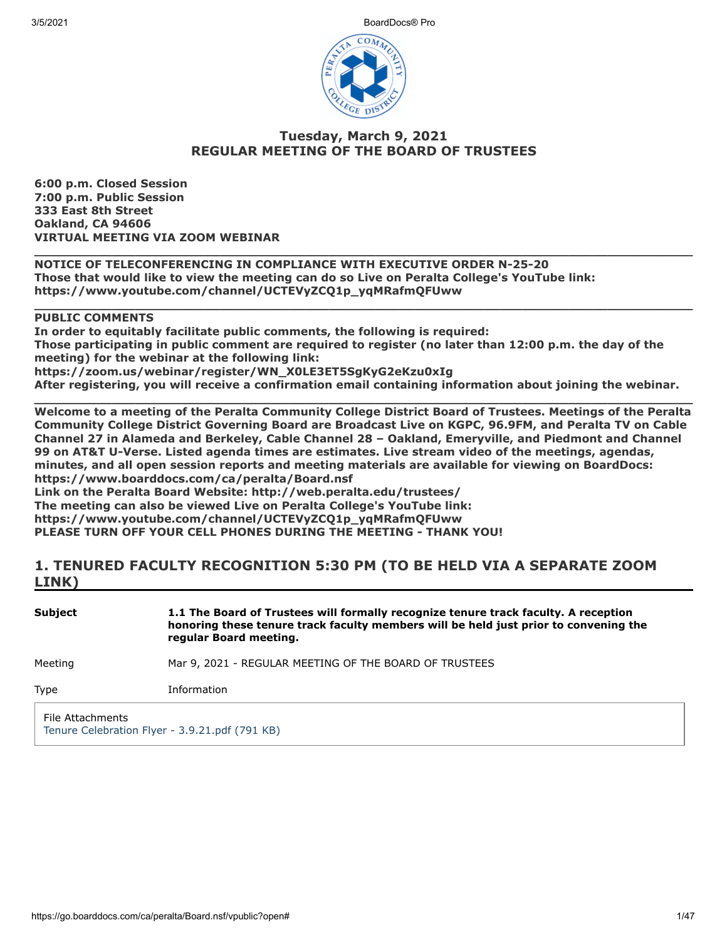3/5/2021 BoardDocs® Pro



# **Tuesday, March 9, 2021 REGULAR MEETING OF THE BOARD OF TRUSTEES**

**6:00 p.m. Closed Session 7:00 p.m. Public Session 333 East 8th Street Oakland, CA 94606 VIRTUAL MEETING VIA ZOOM WEBINAR**

**\_\_\_\_\_\_\_\_\_\_\_\_\_\_\_\_\_\_\_\_\_\_\_\_\_\_\_\_\_\_\_\_\_\_\_\_\_\_\_\_\_\_\_\_\_\_\_\_\_\_\_\_\_\_\_\_\_\_\_\_\_\_\_\_\_\_\_\_\_\_\_\_\_\_\_\_\_\_\_\_\_\_\_\_\_ NOTICE OF TELECONFERENCING IN COMPLIANCE WITH EXECUTIVE ORDER N-25-20 Those that would like to view the meeting can do so Live on Peralta College's YouTube link: https://www.youtube.com/channel/UCTEVyZCQ1p\_yqMRafmQFUww**

# **PUBLIC COMMENTS**

**In order to equitably facilitate public comments, the following is required: Those participating in public comment are required to register (no later than 12:00 p.m. the day of the meeting) for the webinar at the following link: https://zoom.us/webinar/register/WN\_X0LE3ET5SgKyG2eKzu0xIg**

**\_\_\_\_\_\_\_\_\_\_\_\_\_\_\_\_\_\_\_\_\_\_\_\_\_\_\_\_\_\_\_\_\_\_\_\_\_\_\_\_\_\_\_\_\_\_\_\_\_\_\_\_\_\_\_\_\_\_\_\_\_\_\_\_\_\_\_\_\_\_\_\_\_\_\_\_\_\_\_\_\_\_\_\_\_**

**After registering, you will receive a confirmation email containing information about joining the webinar. \_\_\_\_\_\_\_\_\_\_\_\_\_\_\_\_\_\_\_\_\_\_\_\_\_\_\_\_\_\_\_\_\_\_\_\_\_\_\_\_\_\_\_\_\_\_\_\_\_\_\_\_\_\_\_\_\_\_\_\_\_\_\_\_\_\_\_\_\_\_\_\_\_\_\_\_\_\_\_\_\_\_\_\_\_**

**Welcome to a meeting of the Peralta Community College District Board of Trustees. Meetings of the Peralta Community College District Governing Board are Broadcast Live on KGPC, 96.9FM, and Peralta TV on Cable Channel 27 in Alameda and Berkeley, Cable Channel 28 – Oakland, Emeryville, and Piedmont and Channel 99 on AT&T U-Verse. Listed agenda times are estimates. Live stream video of the meetings, agendas, minutes, and all open session reports and meeting materials are available for viewing on BoardDocs: https://www.boarddocs.com/ca/peralta/Board.nsf**

**Link on the Peralta Board Website: http://web.peralta.edu/trustees/ The meeting can also be viewed Live on Peralta College's YouTube link: https://www.youtube.com/channel/UCTEVyZCQ1p\_yqMRafmQFUww PLEASE TURN OFF YOUR CELL PHONES DURING THE MEETING - THANK YOU!**

# **1. TENURED FACULTY RECOGNITION 5:30 PM (TO BE HELD VIA A SEPARATE ZOOM LINK)**

| <b>Subject</b>   | 1.1 The Board of Trustees will formally recognize tenure track faculty. A reception<br>honoring these tenure track faculty members will be held just prior to convening the<br>regular Board meeting. |
|------------------|-------------------------------------------------------------------------------------------------------------------------------------------------------------------------------------------------------|
| Meeting          | Mar 9, 2021 - REGULAR MEETING OF THE BOARD OF TRUSTEES                                                                                                                                                |
| Type             | Information                                                                                                                                                                                           |
| File Attachments | Tenure Celebration Flyer - 3.9.21.pdf (791 KB)                                                                                                                                                        |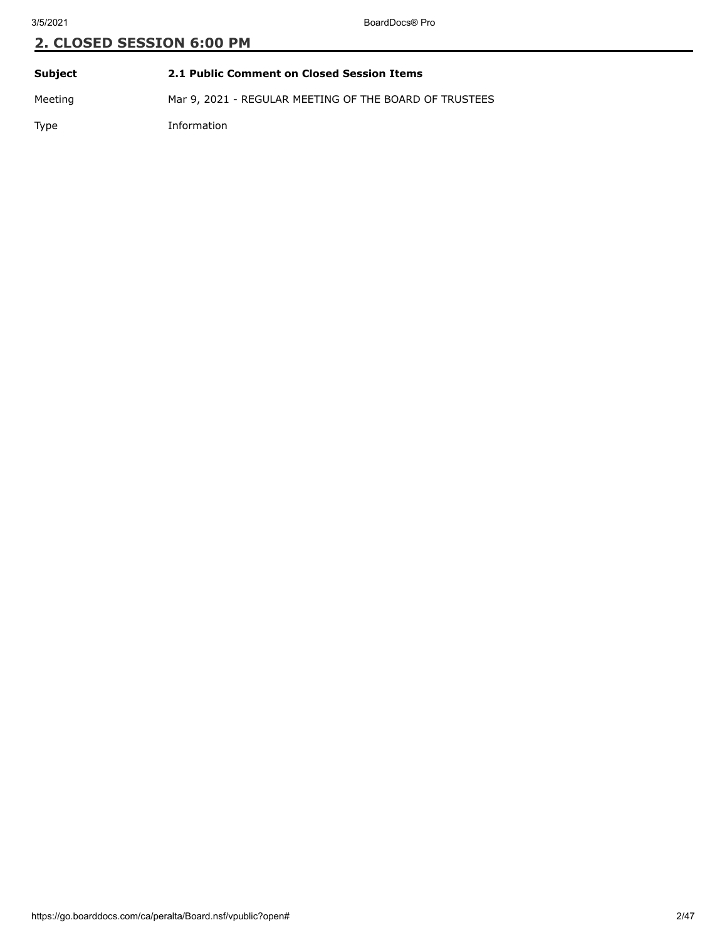| Subject | 2.1 Public Comment on Closed Session Items             |
|---------|--------------------------------------------------------|
| Meeting | Mar 9, 2021 - REGULAR MEETING OF THE BOARD OF TRUSTEES |

Type Information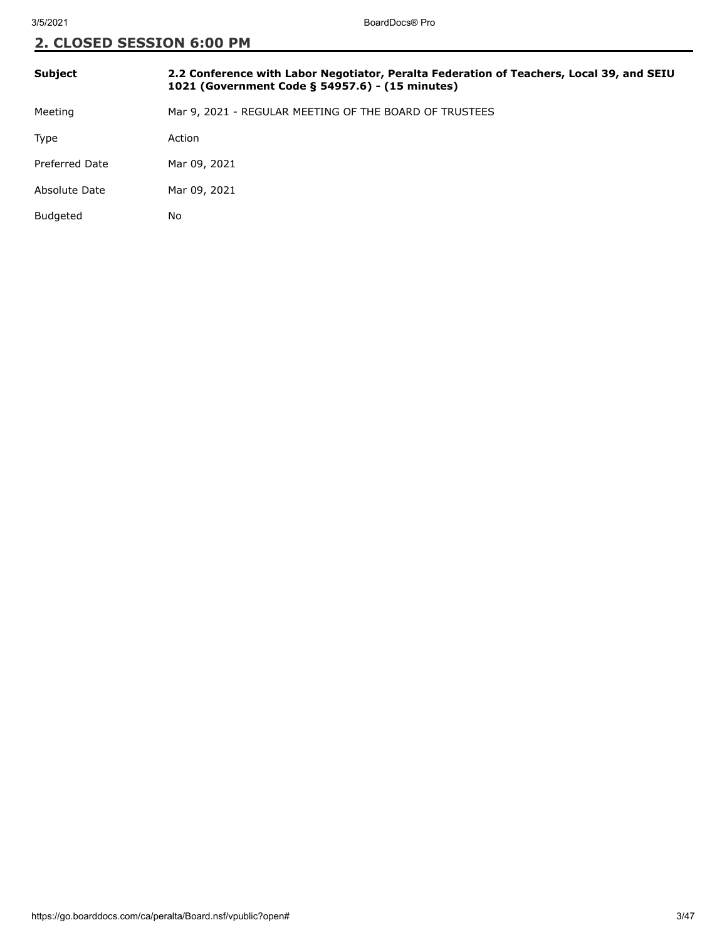| <b>Subject</b>  | 2.2 Conference with Labor Negotiator, Peralta Federation of Teachers, Local 39, and SEIU<br>1021 (Government Code § 54957.6) - (15 minutes) |
|-----------------|---------------------------------------------------------------------------------------------------------------------------------------------|
| Meeting         | Mar 9, 2021 - REGULAR MEETING OF THE BOARD OF TRUSTEES                                                                                      |
| <b>Type</b>     | Action                                                                                                                                      |
| Preferred Date  | Mar 09, 2021                                                                                                                                |
| Absolute Date   | Mar 09, 2021                                                                                                                                |
| <b>Budgeted</b> | No                                                                                                                                          |
|                 |                                                                                                                                             |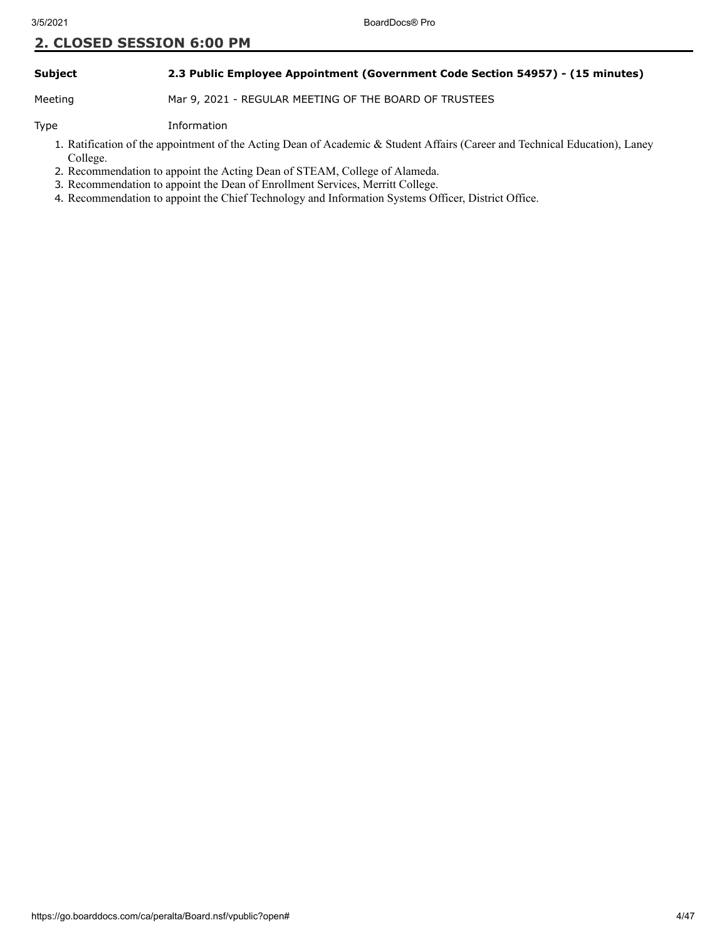# **Subject 2.3 Public Employee Appointment (Government Code Section 54957) - (15 minutes)**

Meeting Mar 9, 2021 - REGULAR MEETING OF THE BOARD OF TRUSTEES

Type Information

- 1. Ratification of the appointment of the Acting Dean of Academic & Student Affairs (Career and Technical Education), Laney College.
- 2. Recommendation to appoint the Acting Dean of STEAM, College of Alameda.
- 3. Recommendation to appoint the Dean of Enrollment Services, Merritt College.
- 4. Recommendation to appoint the Chief Technology and Information Systems Officer, District Office.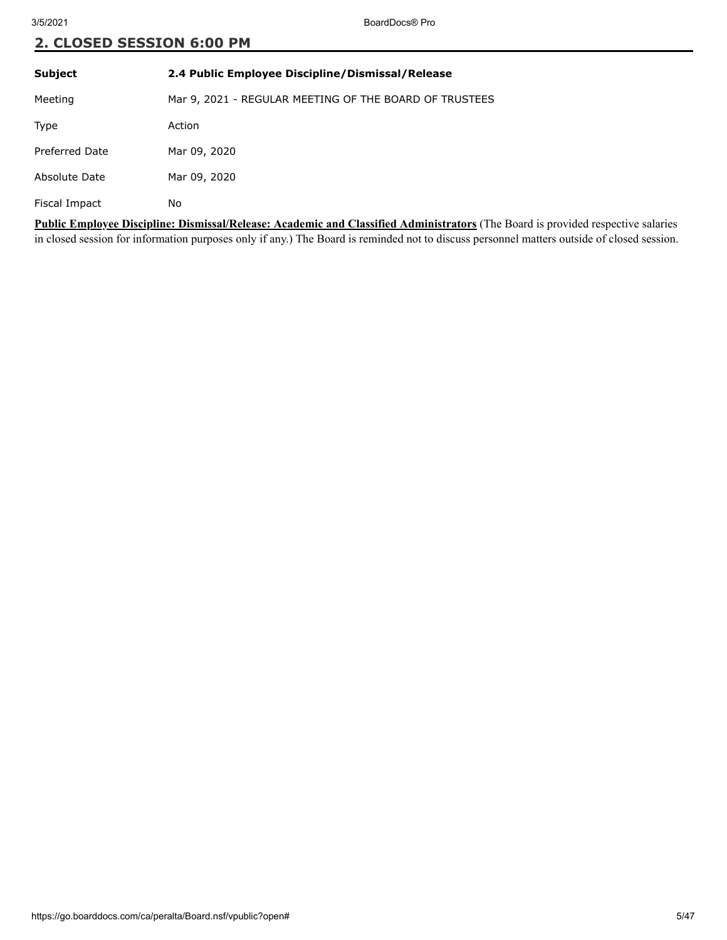| <b>Subject</b>                                                                                                   | 2.4 Public Employee Discipline/Dismissal/Release       |
|------------------------------------------------------------------------------------------------------------------|--------------------------------------------------------|
| Meeting                                                                                                          | Mar 9, 2021 - REGULAR MEETING OF THE BOARD OF TRUSTEES |
| Type                                                                                                             | Action                                                 |
| Preferred Date                                                                                                   | Mar 09, 2020                                           |
| Absolute Date                                                                                                    | Mar 09, 2020                                           |
| Fiscal Impact                                                                                                    | No                                                     |
| Public Employee Discipline: Dismissal/Release: Academic and Classified Administrators (The Board is provided res |                                                        |

ipline: Dismissal/Release: Academic and Classified Administrators (The Board is provided respective salaries in closed session for information purposes only if any.) The Board is reminded not to discuss personnel matters outside of closed session.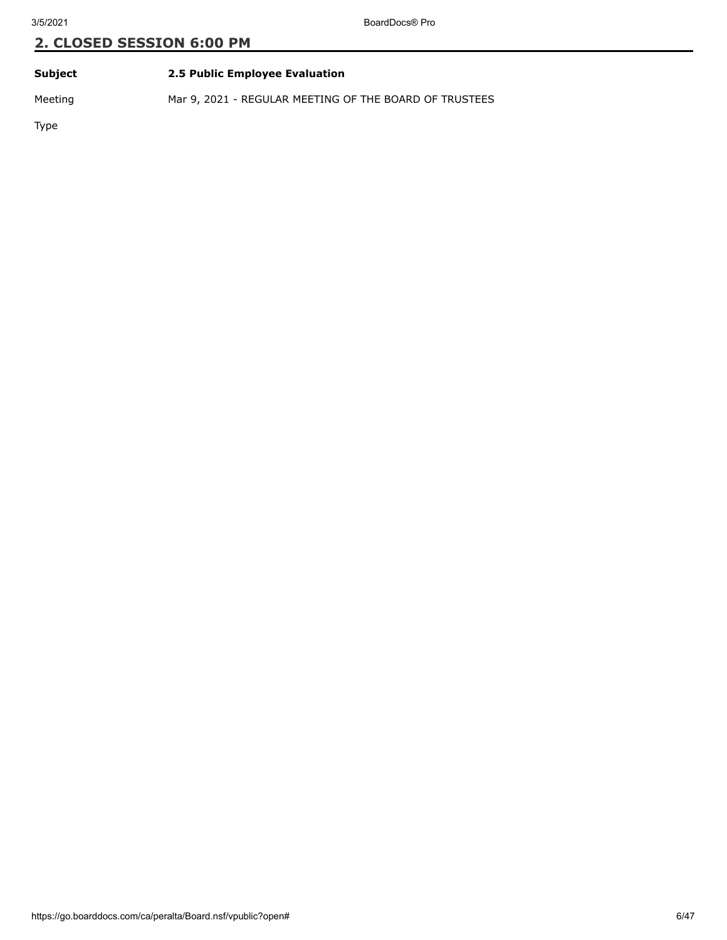# **Subject 2.5 Public Employee Evaluation**

Meeting Mar 9, 2021 - REGULAR MEETING OF THE BOARD OF TRUSTEES

Type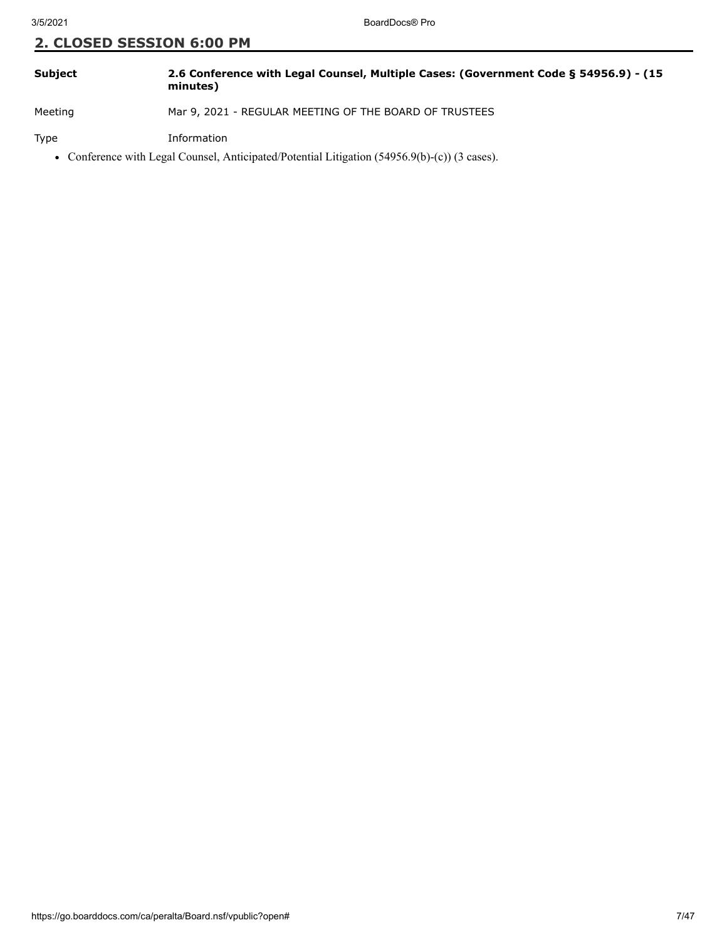| <b>Subject</b> | 2.6 Conference with Legal Counsel, Multiple Cases: (Government Code § 54956.9) - (15<br>minutes) |
|----------------|--------------------------------------------------------------------------------------------------|
|                |                                                                                                  |

Meeting Mar 9, 2021 - REGULAR MEETING OF THE BOARD OF TRUSTEES

Type Information

Conference with Legal Counsel, Anticipated/Potential Litigation (54956.9(b)-(c)) (3 cases).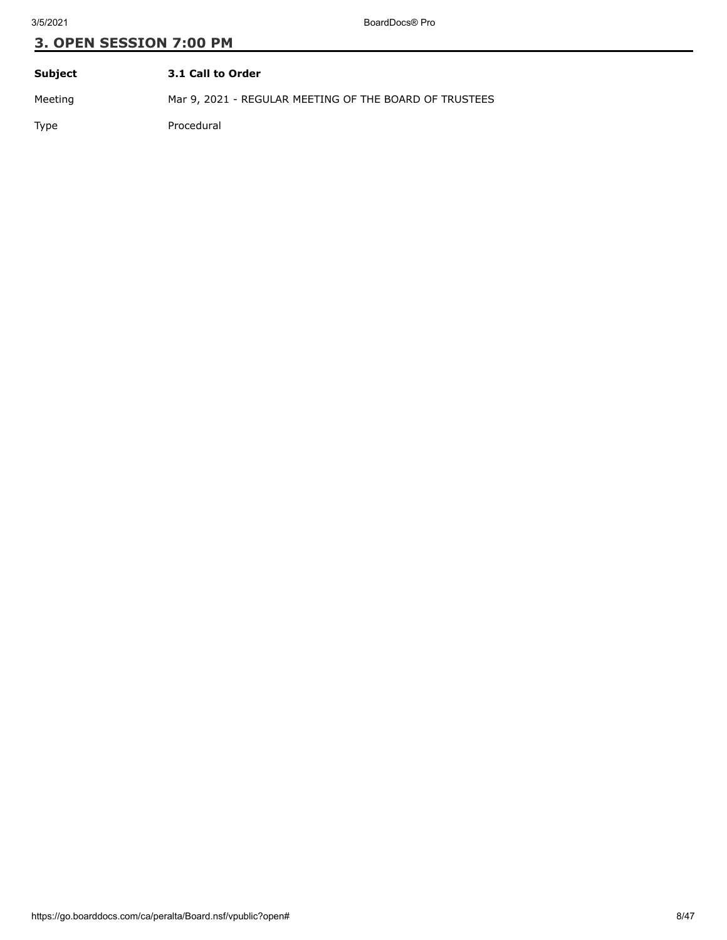| Subject | 3.1 Call to Order                                      |
|---------|--------------------------------------------------------|
| Meeting | Mar 9, 2021 - REGULAR MEETING OF THE BOARD OF TRUSTEES |
| Type    | Procedural                                             |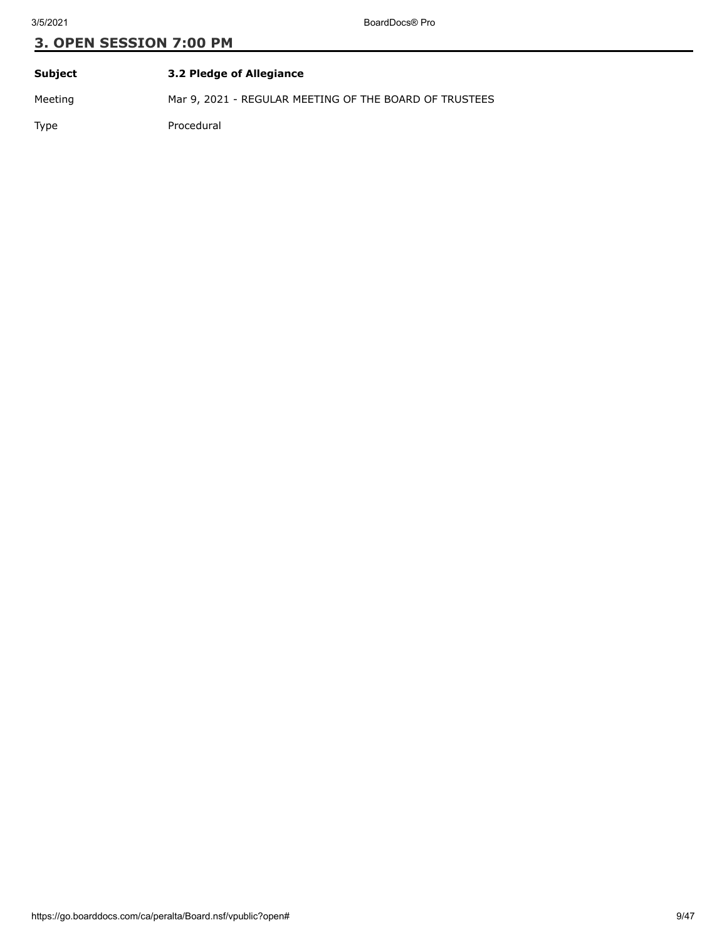| Subject | 3.2 Pledge of Allegiance                               |
|---------|--------------------------------------------------------|
| Meeting | Mar 9, 2021 - REGULAR MEETING OF THE BOARD OF TRUSTEES |
| Type    | Procedural                                             |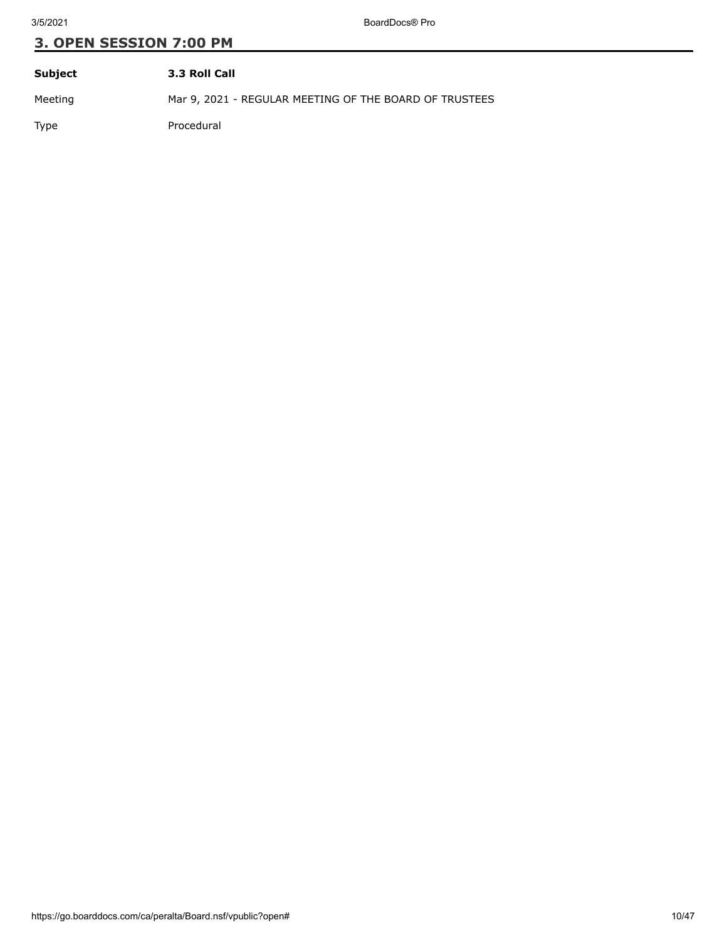| Subject | 3.3 Roll Call                                          |
|---------|--------------------------------------------------------|
| Meeting | Mar 9, 2021 - REGULAR MEETING OF THE BOARD OF TRUSTEES |
| Type    | Procedural                                             |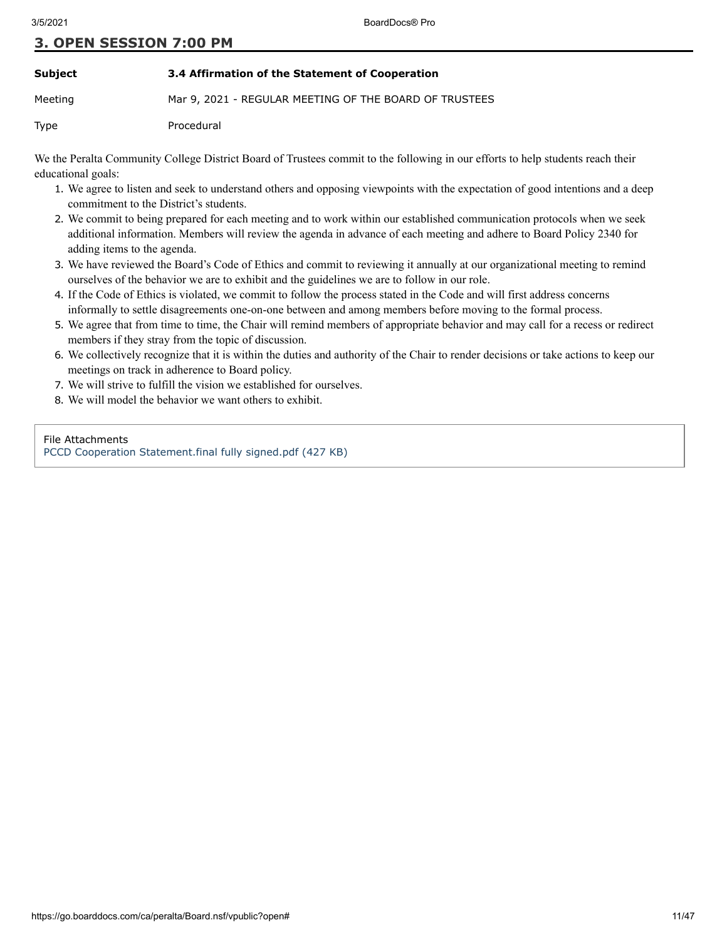## **Subject 3.4 Affirmation of the Statement of Cooperation**

Meeting Mar 9, 2021 - REGULAR MEETING OF THE BOARD OF TRUSTEES

Type Procedural

We the Peralta Community College District Board of Trustees commit to the following in our efforts to help students reach their educational goals:

- 1. We agree to listen and seek to understand others and opposing viewpoints with the expectation of good intentions and a deep commitment to the District's students.
- 2. We commit to being prepared for each meeting and to work within our established communication protocols when we seek additional information. Members will review the agenda in advance of each meeting and adhere to Board Policy 2340 for adding items to the agenda.
- 3. We have reviewed the Board's Code of Ethics and commit to reviewing it annually at our organizational meeting to remind ourselves of the behavior we are to exhibit and the guidelines we are to follow in our role.
- 4. If the Code of Ethics is violated, we commit to follow the process stated in the Code and will first address concerns informally to settle disagreements one-on-one between and among members before moving to the formal process.
- 5. We agree that from time to time, the Chair will remind members of appropriate behavior and may call for a recess or redirect members if they stray from the topic of discussion.
- 6. We collectively recognize that it is within the duties and authority of the Chair to render decisions or take actions to keep our meetings on track in adherence to Board policy.
- 7. We will strive to fulfill the vision we established for ourselves.
- 8. We will model the behavior we want others to exhibit.

#### File Attachments

[PCCD Cooperation Statement.final fully signed.pdf \(427 KB\)](https://go.boarddocs.com/ca/peralta/Board.nsf/files/BYSTBY7243E9/$file/PCCD%20Cooperation%20Statement.final%20fully%20signed.pdf)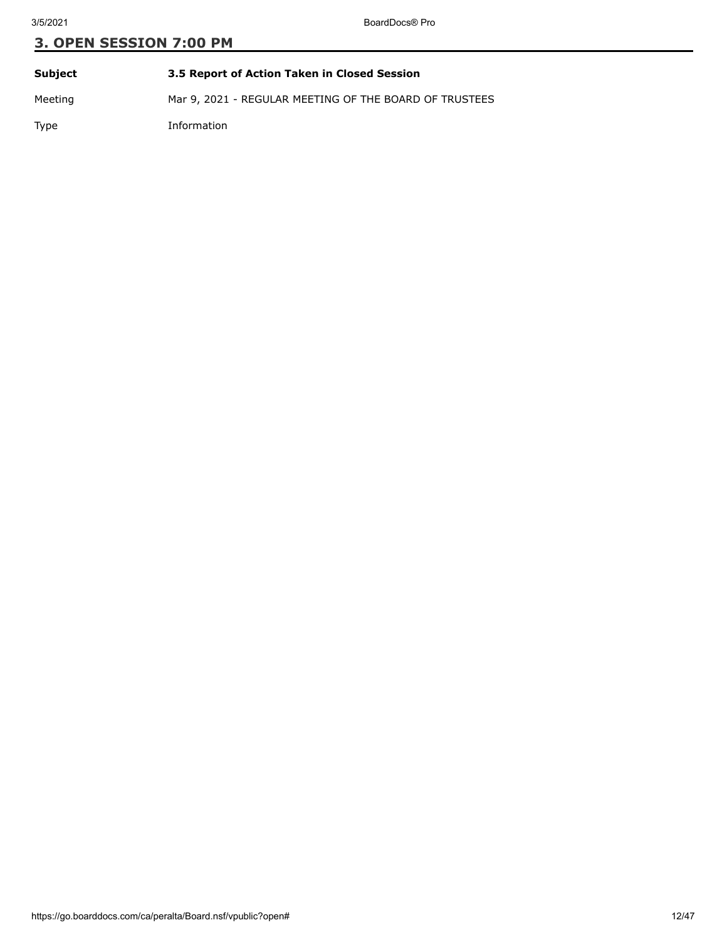| Subject     | 3.5 Report of Action Taken in Closed Session           |
|-------------|--------------------------------------------------------|
| Meeting     | Mar 9, 2021 - REGULAR MEETING OF THE BOARD OF TRUSTEES |
| <b>Type</b> | Information                                            |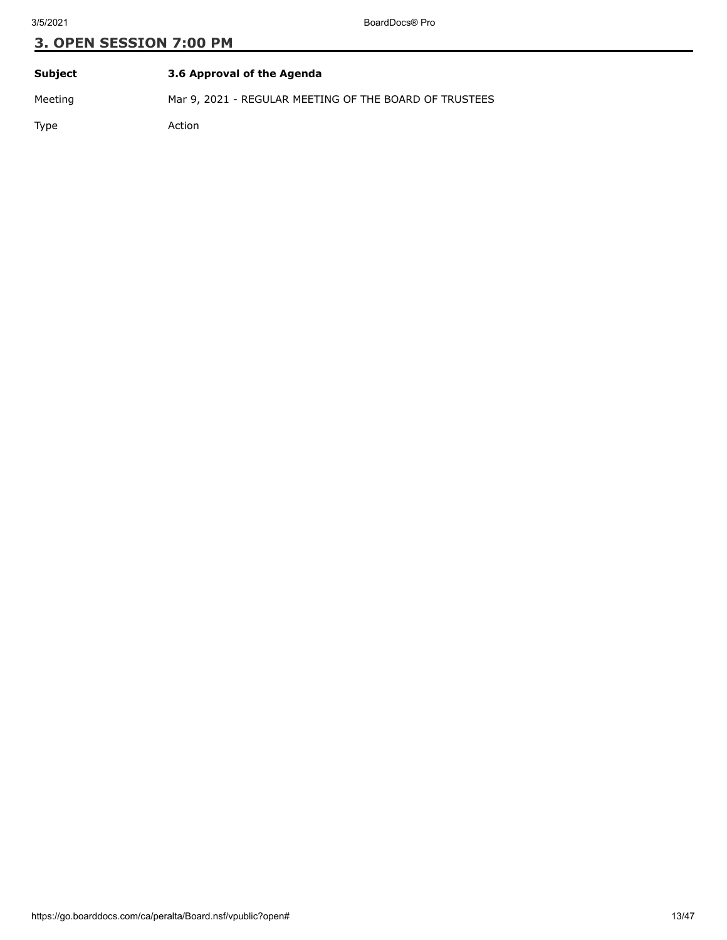| Subject | 3.6 Approval of the Agenda                             |
|---------|--------------------------------------------------------|
| Meeting | Mar 9, 2021 - REGULAR MEETING OF THE BOARD OF TRUSTEES |
| Type    | Action                                                 |

https://go.boarddocs.com/ca/peralta/Board.nsf/vpublic?open# 13/47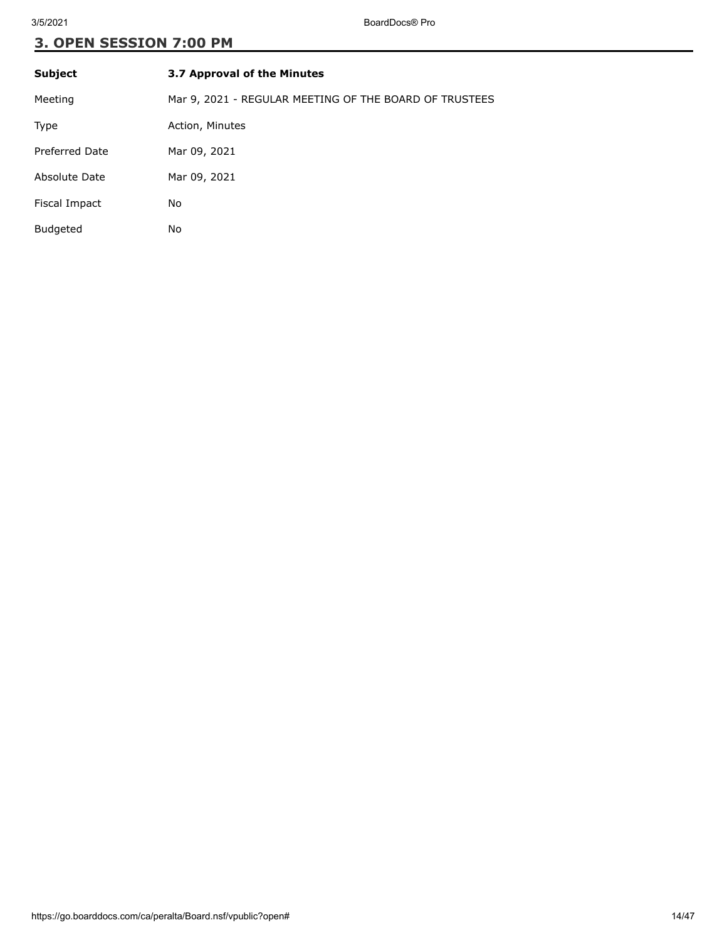| <b>Subject</b>        | 3.7 Approval of the Minutes                            |
|-----------------------|--------------------------------------------------------|
| Meeting               | Mar 9, 2021 - REGULAR MEETING OF THE BOARD OF TRUSTEES |
| Type                  | Action, Minutes                                        |
| <b>Preferred Date</b> | Mar 09, 2021                                           |
| Absolute Date         | Mar 09, 2021                                           |
| Fiscal Impact         | No                                                     |
| <b>Budgeted</b>       | No                                                     |
|                       |                                                        |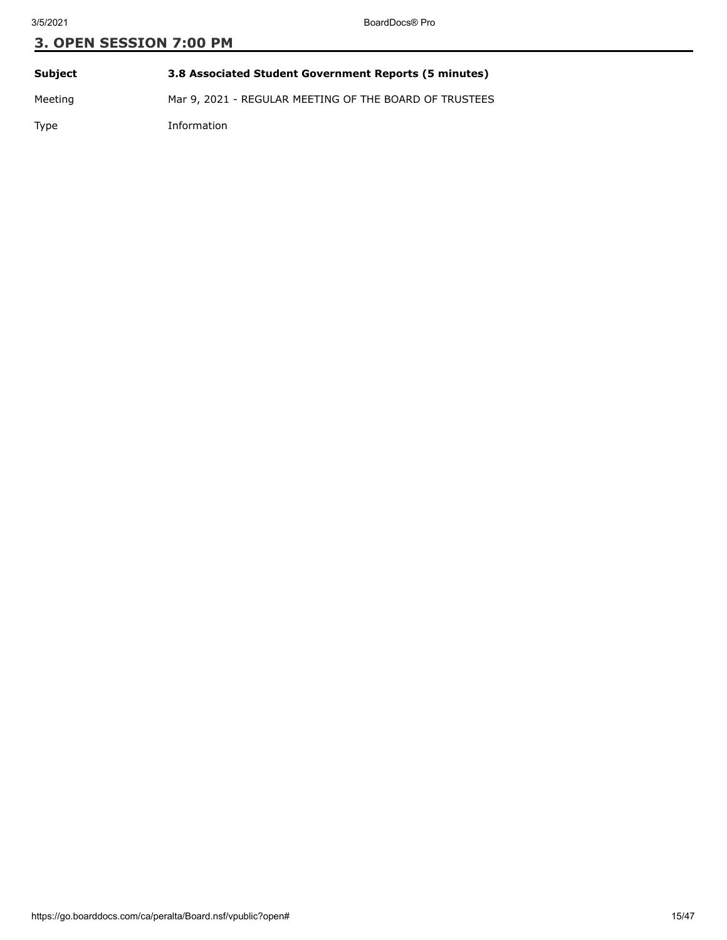| <b>Subject</b> | 3.8 Associated Student Government Reports (5 minutes)  |
|----------------|--------------------------------------------------------|
| Meeting        | Mar 9, 2021 - REGULAR MEETING OF THE BOARD OF TRUSTEES |
| Type           | Information                                            |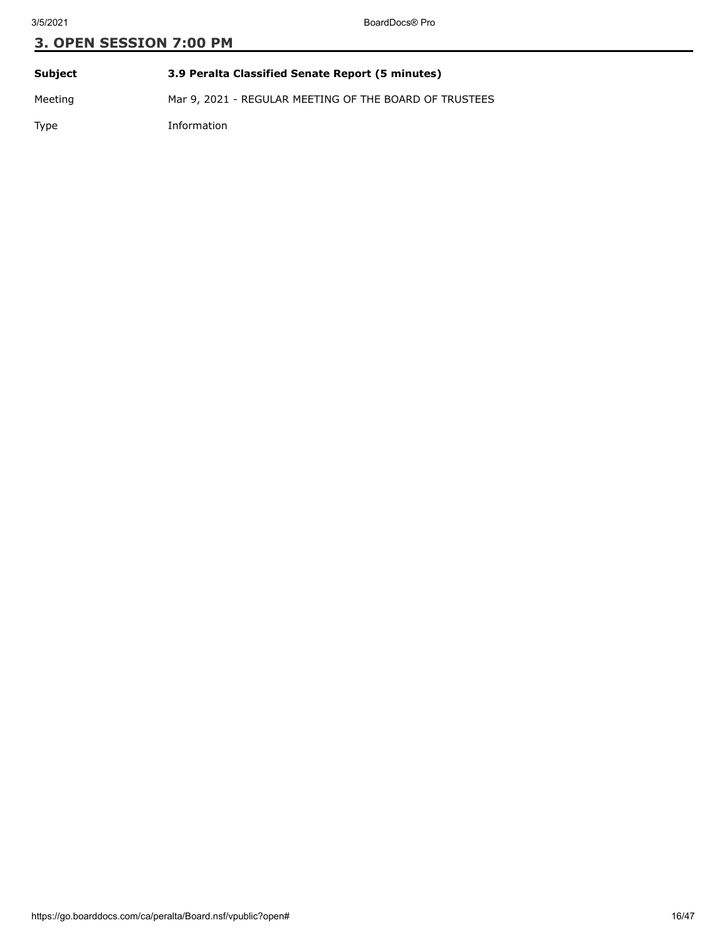| Subject | 3.9 Peralta Classified Senate Report (5 minutes)       |
|---------|--------------------------------------------------------|
| Meeting | Mar 9, 2021 - REGULAR MEETING OF THE BOARD OF TRUSTEES |

Type Information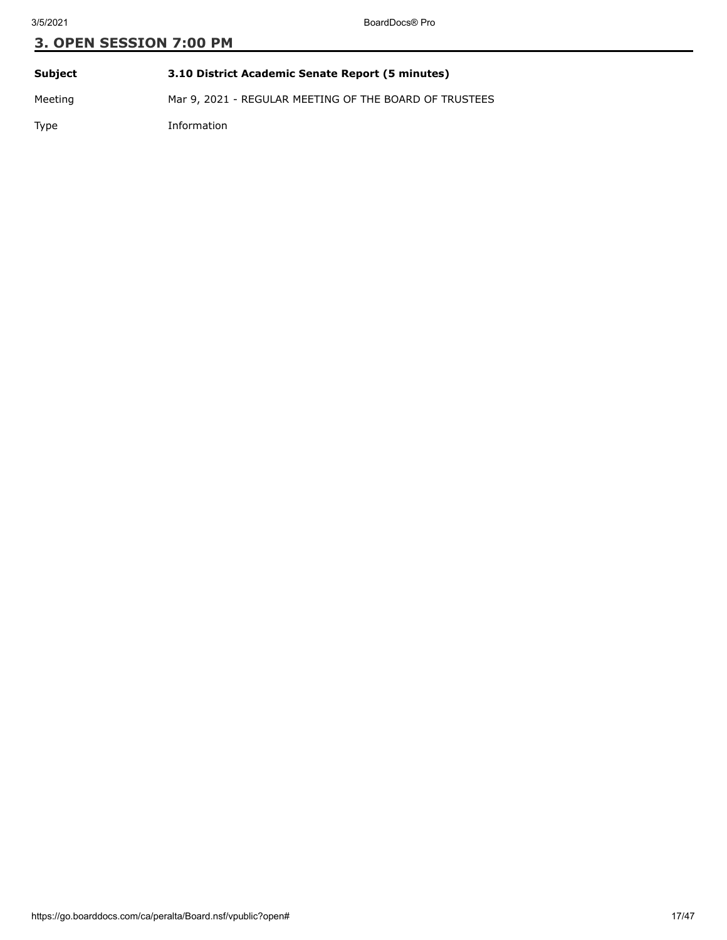| Subject | 3.10 District Academic Senate Report (5 minutes)       |
|---------|--------------------------------------------------------|
| Meeting | Mar 9, 2021 - REGULAR MEETING OF THE BOARD OF TRUSTEES |

Type Information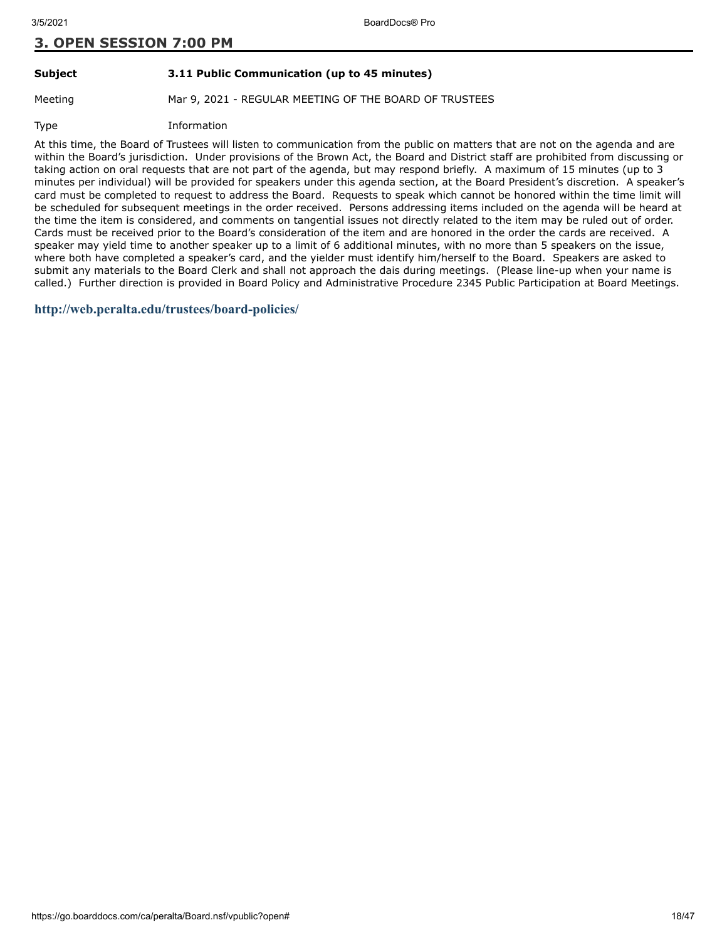# **Subject 3.11 Public Communication (up to 45 minutes)**

Meeting Mar 9, 2021 - REGULAR MEETING OF THE BOARD OF TRUSTEES

Type Information

At this time, the Board of Trustees will listen to communication from the public on matters that are not on the agenda and are within the Board's jurisdiction. Under provisions of the Brown Act, the Board and District staff are prohibited from discussing or taking action on oral requests that are not part of the agenda, but may respond briefly. A maximum of 15 minutes (up to 3 minutes per individual) will be provided for speakers under this agenda section, at the Board President's discretion. A speaker's card must be completed to request to address the Board. Requests to speak which cannot be honored within the time limit will be scheduled for subsequent meetings in the order received. Persons addressing items included on the agenda will be heard at the time the item is considered, and comments on tangential issues not directly related to the item may be ruled out of order. Cards must be received prior to the Board's consideration of the item and are honored in the order the cards are received. A speaker may yield time to another speaker up to a limit of 6 additional minutes, with no more than 5 speakers on the issue, where both have completed a speaker's card, and the yielder must identify him/herself to the Board. Speakers are asked to submit any materials to the Board Clerk and shall not approach the dais during meetings. (Please line-up when your name is called.) Further direction is provided in Board Policy and Administrative Procedure 2345 Public Participation at Board Meetings.

**<http://web.peralta.edu/trustees/board-policies/>**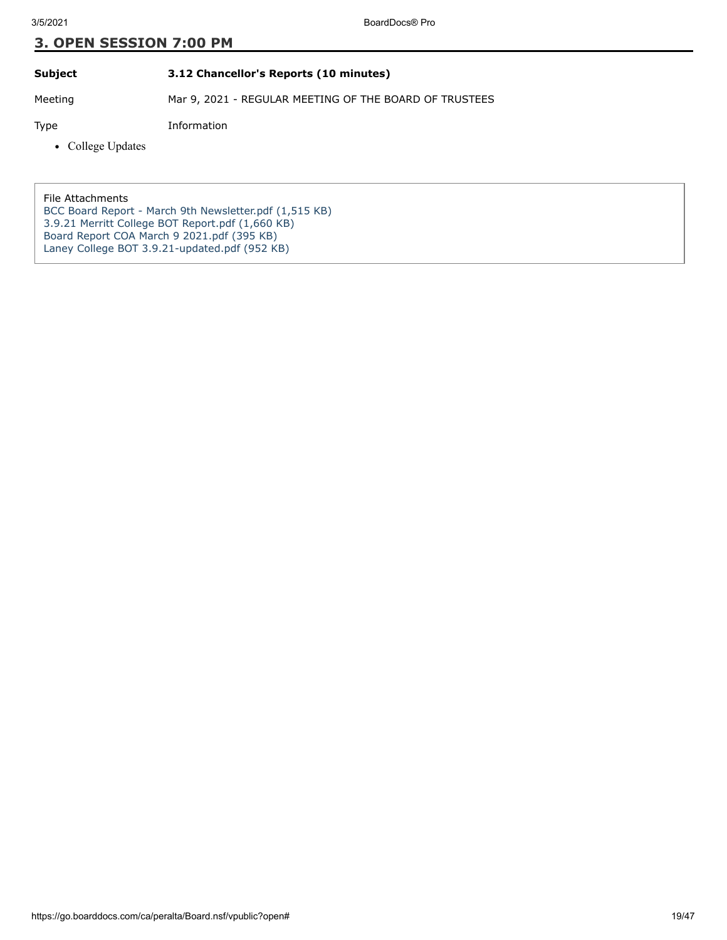# **Subject 3.12 Chancellor's Reports (10 minutes)**

Meeting Mar 9, 2021 - REGULAR MEETING OF THE BOARD OF TRUSTEES

Type Information

• College Updates

File Attachments

[BCC Board Report - March 9th Newsletter.pdf \(1,515 KB\)](https://go.boarddocs.com/ca/peralta/Board.nsf/files/BYS8F61E0BE4/$file/BCC%20Board%20Report%20-%20March%209th%20Newsletter.pdf) [3.9.21 Merritt College BOT Report.pdf \(1,660 KB\)](https://go.boarddocs.com/ca/peralta/Board.nsf/files/BYS8F81E0CAB/$file/3.9.21%20Merritt%20College%20BOT%20Report.pdf) [Board Report COA March 9 2021.pdf \(395 KB\)](https://go.boarddocs.com/ca/peralta/Board.nsf/files/BYSN9U5C8838/$file/Board%20Report%20COA%20March%209%202021.pdf) [Laney College BOT 3.9.21-updated.pdf \(952 KB\)](https://go.boarddocs.com/ca/peralta/Board.nsf/files/BYTAWL29AF16/$file/Laney%20College%20BOT%203.9.21-updated.pdf)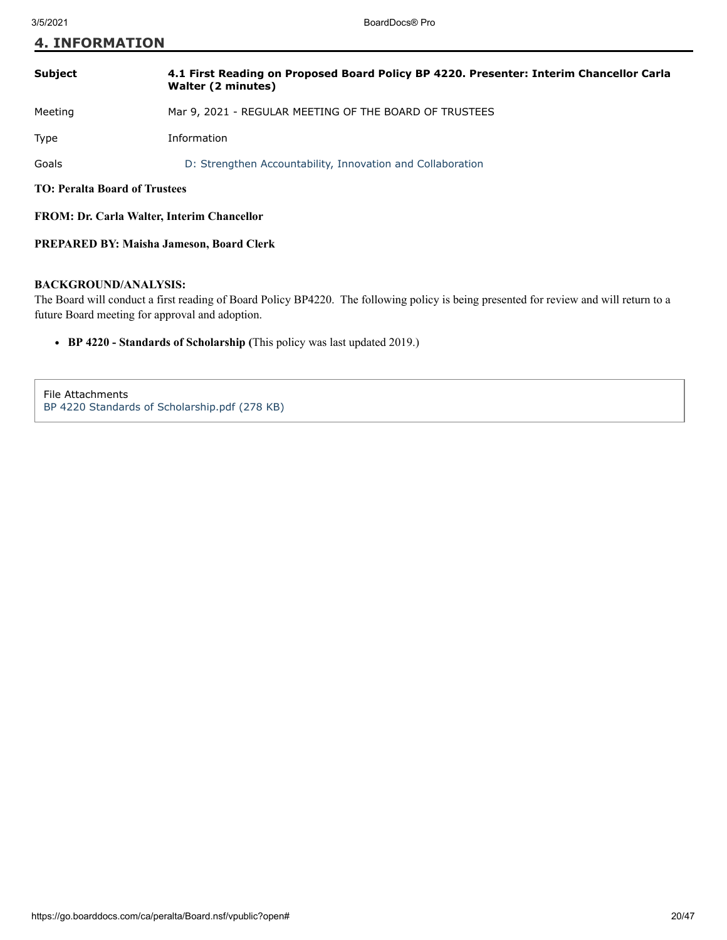**4. INFORMATION**

| <b>Subject</b>                                    | 4.1 First Reading on Proposed Board Policy BP 4220. Presenter: Interim Chancellor Carla<br>Walter (2 minutes) |
|---------------------------------------------------|---------------------------------------------------------------------------------------------------------------|
| Meeting                                           | Mar 9, 2021 - REGULAR MEETING OF THE BOARD OF TRUSTEES                                                        |
| <b>Type</b>                                       | Information                                                                                                   |
| Goals                                             | D: Strengthen Accountability, Innovation and Collaboration                                                    |
| <b>TO: Peralta Board of Trustees</b>              |                                                                                                               |
| <b>FROM: Dr. Carla Walter, Interim Chancellor</b> |                                                                                                               |

## **PREPARED BY: Maisha Jameson, Board Clerk**

## **BACKGROUND/ANALYSIS:**

The Board will conduct a first reading of Board Policy BP4220. The following policy is being presented for review and will return to a future Board meeting for approval and adoption.

**BP 4220 - Standards of Scholarship (**This policy was last updated 2019.)

File Attachments [BP 4220 Standards of Scholarship.pdf \(278 KB\)](https://go.boarddocs.com/ca/peralta/Board.nsf/files/BYQ8ER1DFBF4/$file/BP%204220%20Standards%20of%20Scholarship.pdf)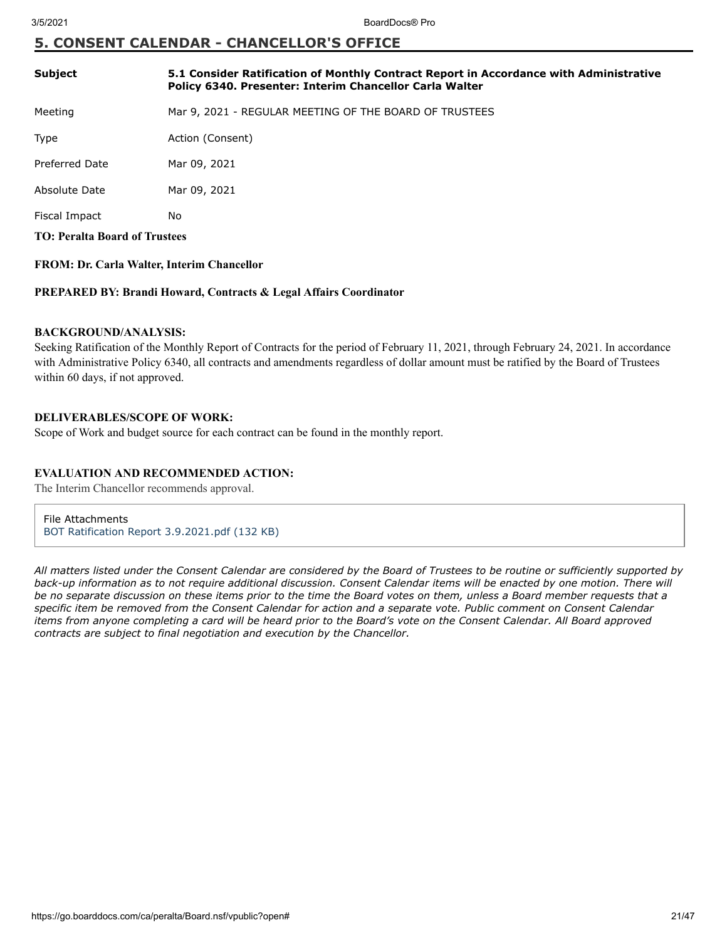# **5. CONSENT CALENDAR - CHANCELLOR'S OFFICE**

| <b>Subject</b>                       | 5.1 Consider Ratification of Monthly Contract Report in Accordance with Administrative<br>Policy 6340. Presenter: Interim Chancellor Carla Walter |  |
|--------------------------------------|---------------------------------------------------------------------------------------------------------------------------------------------------|--|
| Meeting                              | Mar 9, 2021 - REGULAR MEETING OF THE BOARD OF TRUSTEES                                                                                            |  |
| Type                                 | Action (Consent)                                                                                                                                  |  |
| <b>Preferred Date</b>                | Mar 09, 2021                                                                                                                                      |  |
| Absolute Date                        | Mar 09, 2021                                                                                                                                      |  |
| Fiscal Impact                        | No.                                                                                                                                               |  |
| <b>TO: Peralta Board of Trustees</b> |                                                                                                                                                   |  |

# **FROM: Dr. Carla Walter, Interim Chancellor**

#### **PREPARED BY: Brandi Howard, Contracts & Legal Affairs Coordinator**

## **BACKGROUND/ANALYSIS:**

Seeking Ratification of the Monthly Report of Contracts for the period of February 11, 2021, through February 24, 2021. In accordance with Administrative Policy 6340, all contracts and amendments regardless of dollar amount must be ratified by the Board of Trustees within 60 days, if not approved.

# **DELIVERABLES/SCOPE OF WORK:**

Scope of Work and budget source for each contract can be found in the monthly report.

## **EVALUATION AND RECOMMENDED ACTION:**

The Interim Chancellor recommends approval.

File Attachments [BOT Ratification Report 3.9.2021.pdf \(132 KB\)](https://go.boarddocs.com/ca/peralta/Board.nsf/files/BYQ3EQ068ABD/$file/BOT%20Ratification%20Report%203.9.2021.pdf)

*All matters listed under the Consent Calendar are considered by the Board of Trustees to be routine or sufficiently supported by back-up information as to not require additional discussion. Consent Calendar items will be enacted by one motion. There will be no separate discussion on these items prior to the time the Board votes on them, unless a Board member requests that a specific item be removed from the Consent Calendar for action and a separate vote. Public comment on Consent Calendar items from anyone completing a card will be heard prior to the Board's vote on the Consent Calendar. All Board approved contracts are subject to final negotiation and execution by the Chancellor.*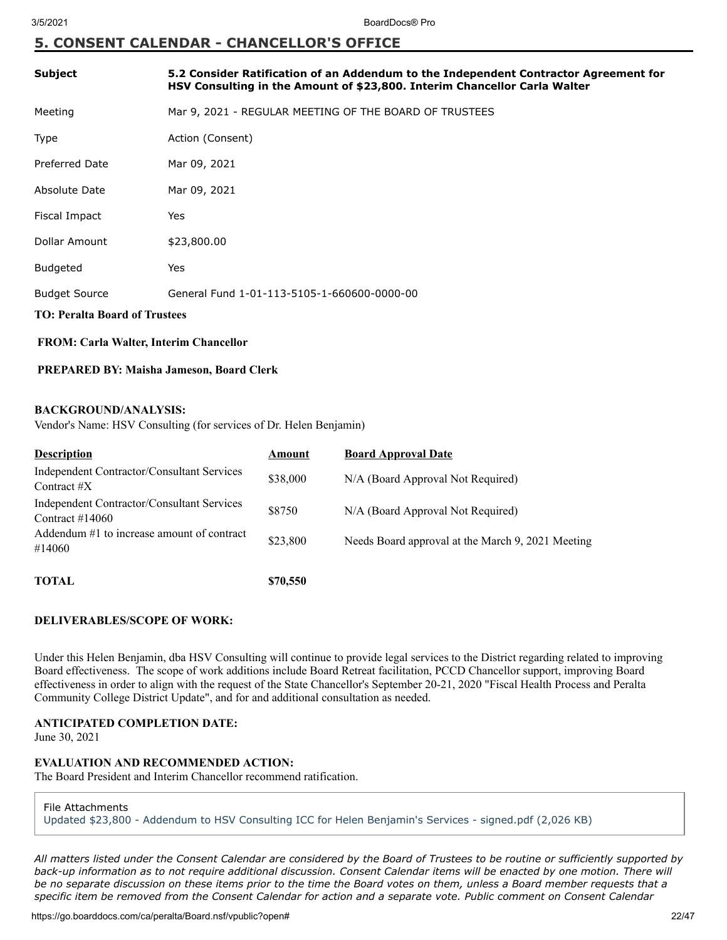# **5. CONSENT CALENDAR - CHANCELLOR'S OFFICE**

| <b>Subject</b>                                                                                    | 5.2 Consider Ratification of an Addendum to the Independent Contractor Agreement for<br>HSV Consulting in the Amount of \$23,800. Interim Chancellor Carla Walter |  |
|---------------------------------------------------------------------------------------------------|-------------------------------------------------------------------------------------------------------------------------------------------------------------------|--|
| Meeting                                                                                           | Mar 9, 2021 - REGULAR MEETING OF THE BOARD OF TRUSTEES                                                                                                            |  |
| Type                                                                                              | Action (Consent)                                                                                                                                                  |  |
| <b>Preferred Date</b>                                                                             | Mar 09, 2021                                                                                                                                                      |  |
| Absolute Date                                                                                     | Mar 09, 2021                                                                                                                                                      |  |
| Fiscal Impact                                                                                     | Yes                                                                                                                                                               |  |
| Dollar Amount                                                                                     | \$23,800.00                                                                                                                                                       |  |
| <b>Budgeted</b>                                                                                   | Yes                                                                                                                                                               |  |
| <b>Budget Source</b>                                                                              | General Fund 1-01-113-5105-1-660600-0000-00                                                                                                                       |  |
| <b>TO: Peralta Board of Trustees</b>                                                              |                                                                                                                                                                   |  |
| FROM: Carla Walter, Interim Chancellor                                                            |                                                                                                                                                                   |  |
| PREPARED BY: Maisha Jameson, Board Clerk                                                          |                                                                                                                                                                   |  |
| <b>BACKGROUND/ANALYSIS:</b><br>Vendor's Name: HSV Consulting (for services of Dr. Helen Benjamin) |                                                                                                                                                                   |  |

| <b>Description</b>                                               | Amount   | <b>Board Approval Date</b>                        |
|------------------------------------------------------------------|----------|---------------------------------------------------|
| Independent Contractor/Consultant Services<br>Contract $\#X$     | \$38,000 | N/A (Board Approval Not Required)                 |
| Independent Contractor/Consultant Services<br>Contract $\#14060$ | \$8750   | N/A (Board Approval Not Required)                 |
| Addendum #1 to increase amount of contract<br>#14060             | \$23,800 | Needs Board approval at the March 9, 2021 Meeting |
| <b>TOTAL</b>                                                     | \$70,550 |                                                   |

# **DELIVERABLES/SCOPE OF WORK:**

Under this Helen Benjamin, dba HSV Consulting will continue to provide legal services to the District regarding related to improving Board effectiveness. The scope of work additions include Board Retreat facilitation, PCCD Chancellor support, improving Board effectiveness in order to align with the request of the State Chancellor's September 20-21, 2020 "Fiscal Health Process and Peralta Community College District Update", and for and additional consultation as needed.

# **ANTICIPATED COMPLETION DATE:**

June 30, 2021

# **EVALUATION AND RECOMMENDED ACTION:**

The Board President and Interim Chancellor recommend ratification.

File Attachments

[Updated \\$23,800 - Addendum to HSV Consulting ICC for Helen Benjamin's Services - signed.pdf \(2,026 KB\)](https://go.boarddocs.com/ca/peralta/Board.nsf/files/BYU2FY020995/$file/Updated%20%2423%2C800%20-%20Addendum%20to%20HSV%20Consulting%20ICC%20for%20Helen%20Benjamin)

*All matters listed under the Consent Calendar are considered by the Board of Trustees to be routine or sufficiently supported by back-up information as to not require additional discussion. Consent Calendar items will be enacted by one motion. There will be no separate discussion on these items prior to the time the Board votes on them, unless a Board member requests that a specific item be removed from the Consent Calendar for action and a separate vote. Public comment on Consent Calendar*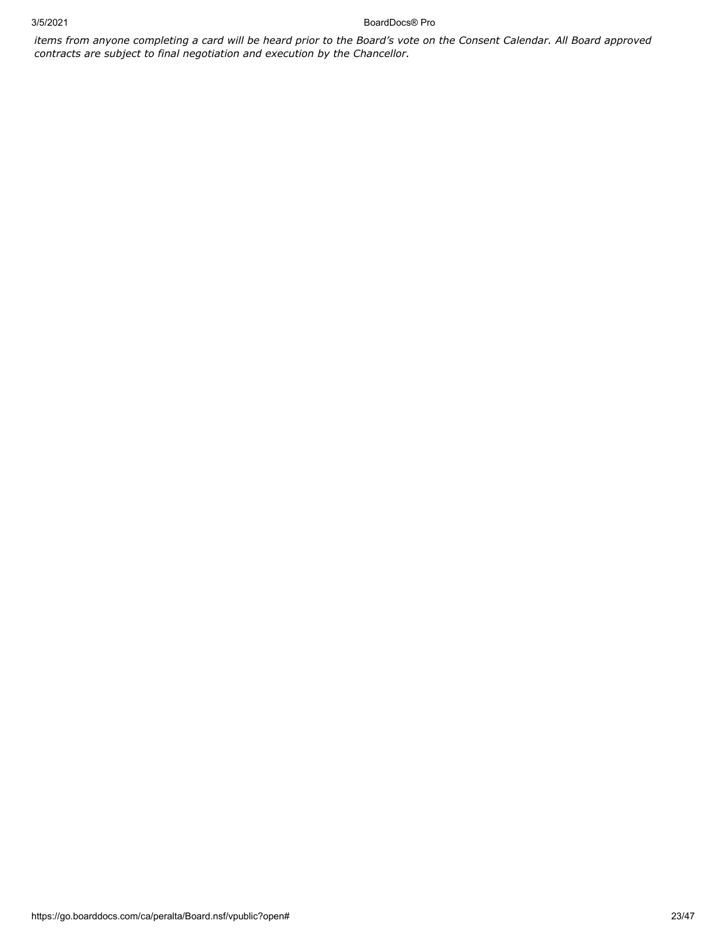3/5/2021 BoardDocs® Pro

*items from anyone completing a card will be heard prior to the Board's vote on the Consent Calendar. All Board approved contracts are subject to final negotiation and execution by the Chancellor.*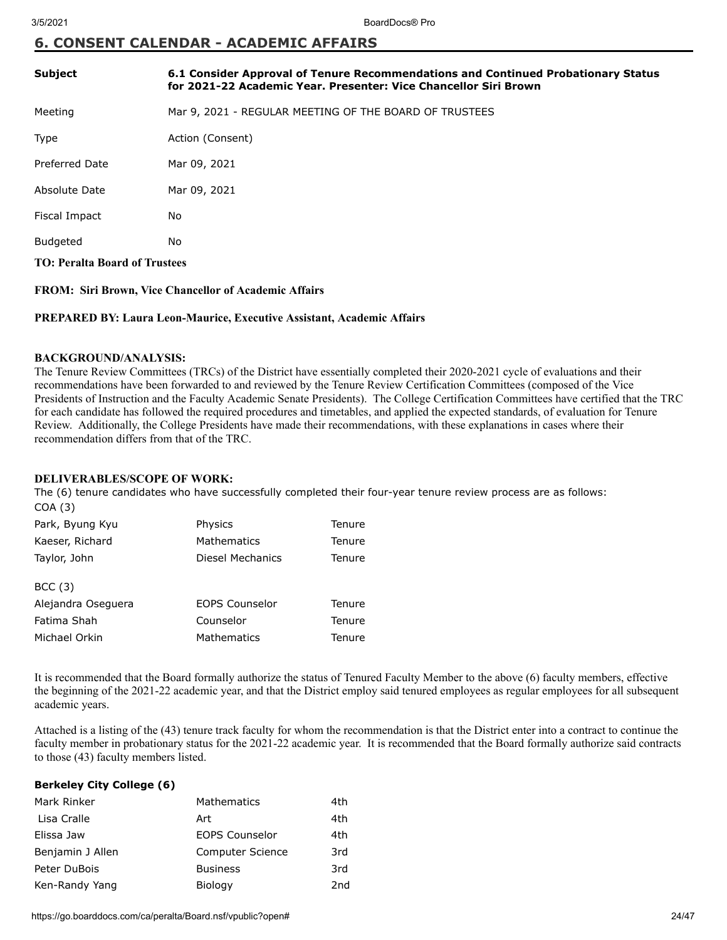# **6. CONSENT CALENDAR - ACADEMIC AFFAIRS**

| <b>Subject</b>                       | 6.1 Consider Approval of Tenure Recommendations and Continued Probationary Status<br>for 2021-22 Academic Year. Presenter: Vice Chancellor Siri Brown |  |
|--------------------------------------|-------------------------------------------------------------------------------------------------------------------------------------------------------|--|
| Meeting                              | Mar 9, 2021 - REGULAR MEETING OF THE BOARD OF TRUSTEES                                                                                                |  |
| Type                                 | Action (Consent)                                                                                                                                      |  |
| <b>Preferred Date</b>                | Mar 09, 2021                                                                                                                                          |  |
| Absolute Date                        | Mar 09, 2021                                                                                                                                          |  |
| Fiscal Impact                        | No                                                                                                                                                    |  |
| Budgeted                             | No                                                                                                                                                    |  |
| <b>TO: Peralta Board of Trustees</b> |                                                                                                                                                       |  |

**FROM: Siri Brown, Vice Chancellor of Academic Affairs**

#### **PREPARED BY: Laura Leon-Maurice, Executive Assistant, Academic Affairs**

#### **BACKGROUND/ANALYSIS:**

The Tenure Review Committees (TRCs) of the District have essentially completed their 2020-2021 cycle of evaluations and their recommendations have been forwarded to and reviewed by the Tenure Review Certification Committees (composed of the Vice Presidents of Instruction and the Faculty Academic Senate Presidents). The College Certification Committees have certified that the TRC for each candidate has followed the required procedures and timetables, and applied the expected standards, of evaluation for Tenure Review. Additionally, the College Presidents have made their recommendations, with these explanations in cases where their recommendation differs from that of the TRC.

# **DELIVERABLES/SCOPE OF WORK:**

The (6) tenure candidates who have successfully completed their four-year tenure review process are as follows: COA (3)

| Park, Byung Kyu    | Physics               | Tenure |
|--------------------|-----------------------|--------|
| Kaeser, Richard    | <b>Mathematics</b>    | Tenure |
| Taylor, John       | Diesel Mechanics      | Tenure |
| BCC(3)             |                       |        |
| Alejandra Oseguera | <b>EOPS Counselor</b> | Tenure |
| Fatima Shah        | Counselor             | Tenure |
| Michael Orkin      | Mathematics           | Tenure |

It is recommended that the Board formally authorize the status of Tenured Faculty Member to the above (6) faculty members, effective the beginning of the 2021-22 academic year, and that the District employ said tenured employees as regular employees for all subsequent academic years.

Attached is a listing of the (43) tenure track faculty for whom the recommendation is that the District enter into a contract to continue the faculty member in probationary status for the 2021-22 academic year. It is recommended that the Board formally authorize said contracts to those (43) faculty members listed.

## **Berkeley City College (6)**

| Mark Rinker      | Mathematics             | 4th |
|------------------|-------------------------|-----|
| Lisa Cralle      | Art                     | 4th |
| Elissa Jaw       | <b>EOPS Counselor</b>   | 4th |
| Benjamin J Allen | <b>Computer Science</b> | 3rd |
| Peter DuBois     | <b>Business</b>         | 3rd |
| Ken-Randy Yang   | Biology                 | 2nd |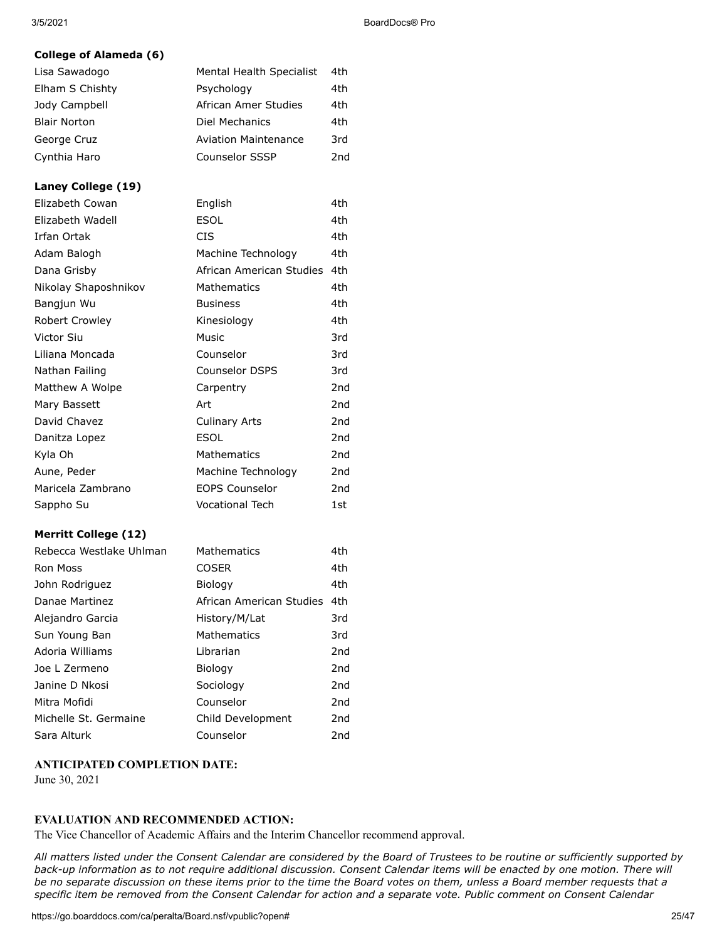# **College of Alameda (6)**

| Lisa Sawadogo       | Mental Health Specialist    | 4th |
|---------------------|-----------------------------|-----|
| Elham S Chishty     | Psychology                  | 4th |
| Jody Campbell       | African Amer Studies        | 4th |
| <b>Blair Norton</b> | Diel Mechanics              | 4th |
| George Cruz         | <b>Aviation Maintenance</b> | 3rd |
| Cynthia Haro        | <b>Counselor SSSP</b>       | 2nd |

# **Laney College (19)**

| Elizabeth Cowan             | English                  | 4th             |
|-----------------------------|--------------------------|-----------------|
| Elizabeth Wadell            | <b>ESOL</b>              | 4th             |
| Irfan Ortak                 | <b>CIS</b>               | 4th             |
| Adam Balogh                 | Machine Technology       | 4th             |
| Dana Grisby                 | African American Studies | 4th             |
| Nikolay Shaposhnikov        | Mathematics              | 4th             |
| Bangjun Wu                  | <b>Business</b>          | 4th             |
| Robert Crowley              | Kinesiology              | 4th             |
| Victor Siu                  | Music                    | 3rd             |
| Liliana Moncada             | Counselor                | 3rd             |
| Nathan Failing              | <b>Counselor DSPS</b>    | 3rd             |
| Matthew A Wolpe             | Carpentry                | 2nd             |
| Mary Bassett                | Art                      | 2nd             |
| David Chavez                | <b>Culinary Arts</b>     | 2nd             |
| Danitza Lopez               | <b>ESOL</b>              | 2 <sub>nd</sub> |
| Kyla Oh                     | Mathematics              | 2nd             |
| Aune, Peder                 | Machine Technology       | 2nd             |
| Maricela Zambrano           | <b>EOPS Counselor</b>    | 2nd             |
| Sappho Su                   | <b>Vocational Tech</b>   | 1st             |
| <b>Merritt College (12)</b> |                          |                 |
| Rebecca Westlake Uhlman     | Mathematics              | 4th             |
| <b>Ron Moss</b>             | <b>COSER</b>             | 4th.            |
| John Rodriguez              | Biology                  | 4th             |
| Danae Martinez              | African American Studies | 4th             |

| Danae Martinez        | African American Studies 4th |                 |
|-----------------------|------------------------------|-----------------|
| Alejandro Garcia      | History/M/Lat                | 3rd             |
| Sun Young Ban         | Mathematics                  | 3rd             |
| Adoria Williams       | Librarian                    | 2 <sub>nd</sub> |
| Joe L Zermeno         | Biology                      | 2nd             |
| Janine D Nkosi        | Sociology                    | 2nd             |
| Mitra Mofidi          | Counselor                    | 2nd             |
| Michelle St. Germaine | Child Development            | 2nd             |
| Sara Alturk           | Counselor                    | 2nd             |

# **ANTICIPATED COMPLETION DATE:**

June 30, 2021

# **EVALUATION AND RECOMMENDED ACTION:**

The Vice Chancellor of Academic Affairs and the Interim Chancellor recommend approval.

*All matters listed under the Consent Calendar are considered by the Board of Trustees to be routine or sufficiently supported by* back-up information as to not require additional discussion. Consent Calendar items will be enacted by one motion. There will *be no separate discussion on these items prior to the time the Board votes on them, unless a Board member requests that a specific item be removed from the Consent Calendar for action and a separate vote. Public comment on Consent Calendar*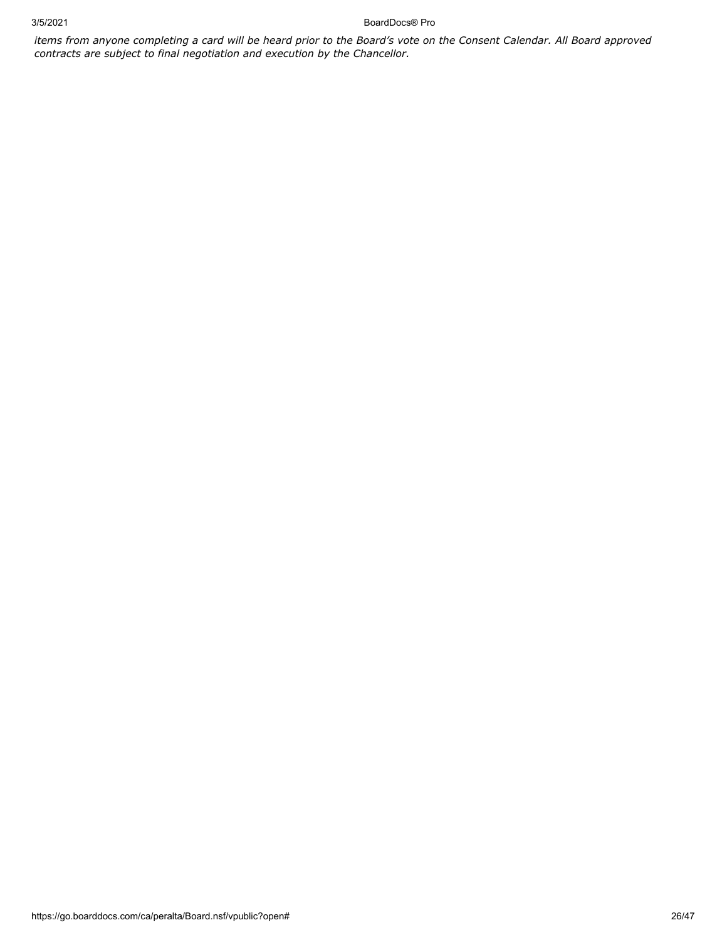3/5/2021 BoardDocs® Pro

*items from anyone completing a card will be heard prior to the Board's vote on the Consent Calendar. All Board approved contracts are subject to final negotiation and execution by the Chancellor.*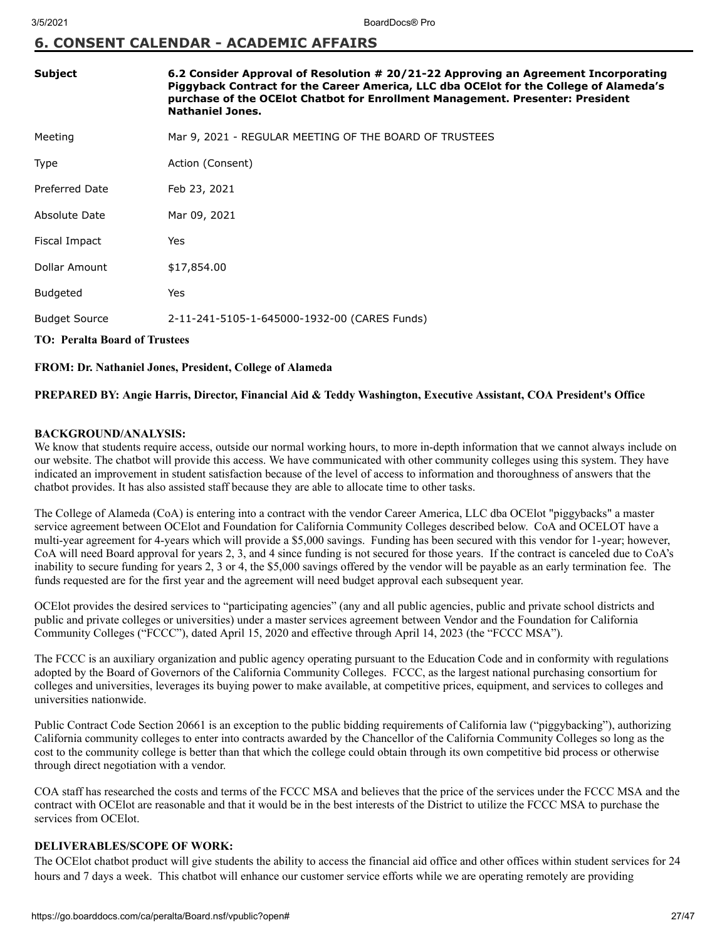# **6. CONSENT CALENDAR - ACADEMIC AFFAIRS**

| <b>Subject</b>                       | 6.2 Consider Approval of Resolution # 20/21-22 Approving an Agreement Incorporating<br>Piggyback Contract for the Career America, LLC dba OCE lot for the College of Alameda's<br>purchase of the OCEIot Chatbot for Enrollment Management. Presenter: President<br><b>Nathaniel Jones.</b> |  |  |
|--------------------------------------|---------------------------------------------------------------------------------------------------------------------------------------------------------------------------------------------------------------------------------------------------------------------------------------------|--|--|
| Meeting                              | Mar 9, 2021 - REGULAR MEETING OF THE BOARD OF TRUSTEES                                                                                                                                                                                                                                      |  |  |
| <b>Type</b>                          | Action (Consent)                                                                                                                                                                                                                                                                            |  |  |
| <b>Preferred Date</b>                | Feb 23, 2021                                                                                                                                                                                                                                                                                |  |  |
| Absolute Date                        | Mar 09, 2021                                                                                                                                                                                                                                                                                |  |  |
| Fiscal Impact                        | Yes                                                                                                                                                                                                                                                                                         |  |  |
| Dollar Amount                        | \$17,854.00                                                                                                                                                                                                                                                                                 |  |  |
| <b>Budgeted</b>                      | Yes                                                                                                                                                                                                                                                                                         |  |  |
| <b>Budget Source</b>                 | 2-11-241-5105-1-645000-1932-00 (CARES Funds)                                                                                                                                                                                                                                                |  |  |
| <b>TO: Peralta Board of Trustees</b> |                                                                                                                                                                                                                                                                                             |  |  |

## **FROM: Dr. Nathaniel Jones, President, College of Alameda**

# **PREPARED BY: Angie Harris, Director, Financial Aid & Teddy Washington, Executive Assistant, COA President's Office**

## **BACKGROUND/ANALYSIS:**

We know that students require access, outside our normal working hours, to more in-depth information that we cannot always include on our website. The chatbot will provide this access. We have communicated with other community colleges using this system. They have indicated an improvement in student satisfaction because of the level of access to information and thoroughness of answers that the chatbot provides. It has also assisted staff because they are able to allocate time to other tasks.

The College of Alameda (CoA) is entering into a contract with the vendor Career America, LLC dba OCElot "piggybacks" a master service agreement between OCElot and Foundation for California Community Colleges described below. CoA and OCELOT have a multi-year agreement for 4-years which will provide a \$5,000 savings. Funding has been secured with this vendor for 1-year; however, CoA will need Board approval for years 2, 3, and 4 since funding is not secured for those years. If the contract is canceled due to CoA's inability to secure funding for years 2, 3 or 4, the \$5,000 savings offered by the vendor will be payable as an early termination fee. The funds requested are for the first year and the agreement will need budget approval each subsequent year.

OCElot provides the desired services to "participating agencies" (any and all public agencies, public and private school districts and public and private colleges or universities) under a master services agreement between Vendor and the Foundation for California Community Colleges ("FCCC"), dated April 15, 2020 and effective through April 14, 2023 (the "FCCC MSA").

The FCCC is an auxiliary organization and public agency operating pursuant to the Education Code and in conformity with regulations adopted by the Board of Governors of the California Community Colleges. FCCC, as the largest national purchasing consortium for colleges and universities, leverages its buying power to make available, at competitive prices, equipment, and services to colleges and universities nationwide.

Public Contract Code Section 20661 is an exception to the public bidding requirements of California law ("piggybacking"), authorizing California community colleges to enter into contracts awarded by the Chancellor of the California Community Colleges so long as the cost to the community college is better than that which the college could obtain through its own competitive bid process or otherwise through direct negotiation with a vendor.

COA staff has researched the costs and terms of the FCCC MSA and believes that the price of the services under the FCCC MSA and the contract with OCElot are reasonable and that it would be in the best interests of the District to utilize the FCCC MSA to purchase the services from OCElot.

## **DELIVERABLES/SCOPE OF WORK:**

The OCElot chatbot product will give students the ability to access the financial aid office and other offices within student services for 24 hours and 7 days a week. This chatbot will enhance our customer service efforts while we are operating remotely are providing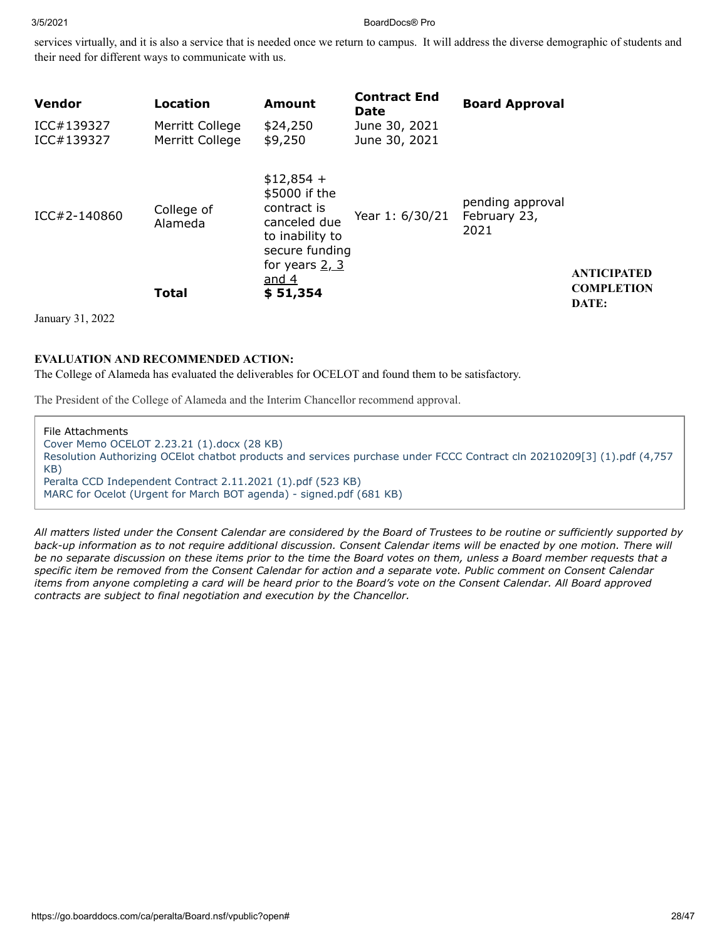services virtually, and it is also a service that is needed once we return to campus. It will address the diverse demographic of students and their need for different ways to communicate with us.

| <b>Vendor</b>            | <b>Location</b>                    | <b>Amount</b>                                                                                                                   | <b>Contract End</b><br>Date    | <b>Board Approval</b>                    |                            |
|--------------------------|------------------------------------|---------------------------------------------------------------------------------------------------------------------------------|--------------------------------|------------------------------------------|----------------------------|
| ICC#139327<br>ICC#139327 | Merritt College<br>Merritt College | \$24,250<br>\$9,250                                                                                                             | June 30, 2021<br>June 30, 2021 |                                          |                            |
| ICC#2-140860             | College of<br>Alameda              | $$12,854 +$<br>\$5000 if the<br>contract is<br>canceled due<br>to inability to<br>secure funding<br>for years $2, 3$<br>and $4$ | Year 1: 6/30/21                | pending approval<br>February 23,<br>2021 | <b>ANTICIPATED</b>         |
|                          | <b>Total</b>                       | \$51,354                                                                                                                        |                                |                                          | <b>COMPLETION</b><br>DATE: |

January 31, 2022

# **EVALUATION AND RECOMMENDED ACTION:**

The College of Alameda has evaluated the deliverables for OCELOT and found them to be satisfactory.

The President of the College of Alameda and the Interim Chancellor recommend approval.

File Attachments [Cover Memo OCELOT 2.23.21 \(1\).docx \(28 KB\)](https://go.boarddocs.com/ca/peralta/Board.nsf/files/BYAMSA5C9A18/$file/Cover%20Memo%20OCELOT%202.23.21%20(1).docx) [Resolution Authorizing OCElot chatbot products and services purchase under FCCC Contract cln 20210209\[3\] \(1\).pdf \(4,757](https://go.boarddocs.com/ca/peralta/Board.nsf/files/BYAMSE5C9EF5/$file/Resolution%20Authorizing%20OCElot%20chatbot%20products%20and%20services%20purchase%20under%20FCCC%20Contract%20cln%2020210209%5B3%5D%20(1).pdf) KB) [Peralta CCD Independent Contract 2.11.2021 \(1\).pdf \(523 KB\)](https://go.boarddocs.com/ca/peralta/Board.nsf/files/BYANG85FD38A/$file/Peralta%20CCD%20Independent%20Contract%202.11.2021%20(1).pdf) [MARC for Ocelot \(Urgent for March BOT agenda\) - signed.pdf \(681 KB\)](https://go.boarddocs.com/ca/peralta/Board.nsf/files/BYQ8HW1E734F/$file/MARC%20for%20Ocelot%20(Urgent%20for%20March%20BOT%20agenda)%20-%20signed.pdf)

*All matters listed under the Consent Calendar are considered by the Board of Trustees to be routine or sufficiently supported by back-up information as to not require additional discussion. Consent Calendar items will be enacted by one motion. There will be no separate discussion on these items prior to the time the Board votes on them, unless a Board member requests that a specific item be removed from the Consent Calendar for action and a separate vote. Public comment on Consent Calendar items from anyone completing a card will be heard prior to the Board's vote on the Consent Calendar. All Board approved contracts are subject to final negotiation and execution by the Chancellor.*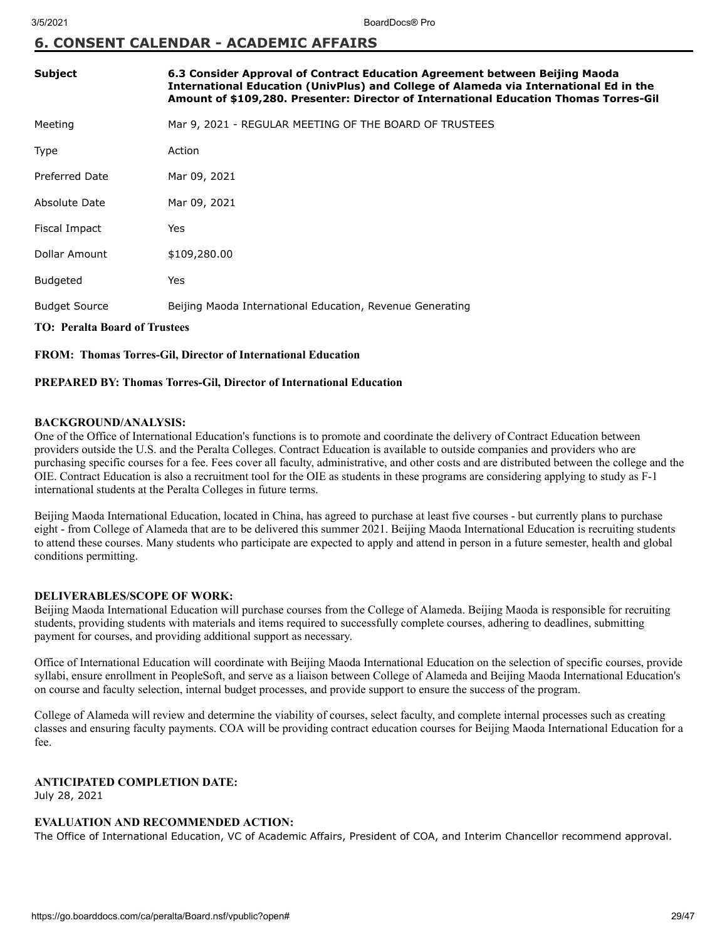# **6. CONSENT CALENDAR - ACADEMIC AFFAIRS**

| <b>Subject</b>                       | 6.3 Consider Approval of Contract Education Agreement between Beijing Maoda<br>International Education (UnivPlus) and College of Alameda via International Ed in the<br>Amount of \$109,280. Presenter: Director of International Education Thomas Torres-Gil |  |  |  |
|--------------------------------------|---------------------------------------------------------------------------------------------------------------------------------------------------------------------------------------------------------------------------------------------------------------|--|--|--|
| Meeting                              | Mar 9, 2021 - REGULAR MEETING OF THE BOARD OF TRUSTEES                                                                                                                                                                                                        |  |  |  |
| Type                                 | Action                                                                                                                                                                                                                                                        |  |  |  |
| Preferred Date                       | Mar 09, 2021                                                                                                                                                                                                                                                  |  |  |  |
| Absolute Date                        | Mar 09, 2021                                                                                                                                                                                                                                                  |  |  |  |
| Fiscal Impact                        | Yes                                                                                                                                                                                                                                                           |  |  |  |
| Dollar Amount                        | \$109,280.00                                                                                                                                                                                                                                                  |  |  |  |
| <b>Budgeted</b>                      | Yes                                                                                                                                                                                                                                                           |  |  |  |
| <b>Budget Source</b>                 | Beijing Maoda International Education, Revenue Generating                                                                                                                                                                                                     |  |  |  |
| <b>TO: Peralta Board of Trustees</b> |                                                                                                                                                                                                                                                               |  |  |  |

#### **FROM: Thomas Torres-Gil, Director of International Education**

## **PREPARED BY: Thomas Torres-Gil, Director of International Education**

#### **BACKGROUND/ANALYSIS:**

One of the Office of International Education's functions is to promote and coordinate the delivery of Contract Education between providers outside the U.S. and the Peralta Colleges. Contract Education is available to outside companies and providers who are purchasing specific courses for a fee. Fees cover all faculty, administrative, and other costs and are distributed between the college and the OIE. Contract Education is also a recruitment tool for the OIE as students in these programs are considering applying to study as F-1 international students at the Peralta Colleges in future terms.

Beijing Maoda International Education, located in China, has agreed to purchase at least five courses - but currently plans to purchase eight - from College of Alameda that are to be delivered this summer 2021. Beijing Maoda International Education is recruiting students to attend these courses. Many students who participate are expected to apply and attend in person in a future semester, health and global conditions permitting.

## **DELIVERABLES/SCOPE OF WORK:**

Beijing Maoda International Education will purchase courses from the College of Alameda. Beijing Maoda is responsible for recruiting students, providing students with materials and items required to successfully complete courses, adhering to deadlines, submitting payment for courses, and providing additional support as necessary.

Office of International Education will coordinate with Beijing Maoda International Education on the selection of specific courses, provide syllabi, ensure enrollment in PeopleSoft, and serve as a liaison between College of Alameda and Beijing Maoda International Education's on course and faculty selection, internal budget processes, and provide support to ensure the success of the program.

College of Alameda will review and determine the viability of courses, select faculty, and complete internal processes such as creating classes and ensuring faculty payments. COA will be providing contract education courses for Beijing Maoda International Education for a fee.

# **ANTICIPATED COMPLETION DATE:**

July 28, 2021

## **EVALUATION AND RECOMMENDED ACTION:**

The Office of International Education, VC of Academic Affairs, President of COA, and Interim Chancellor recommend approval.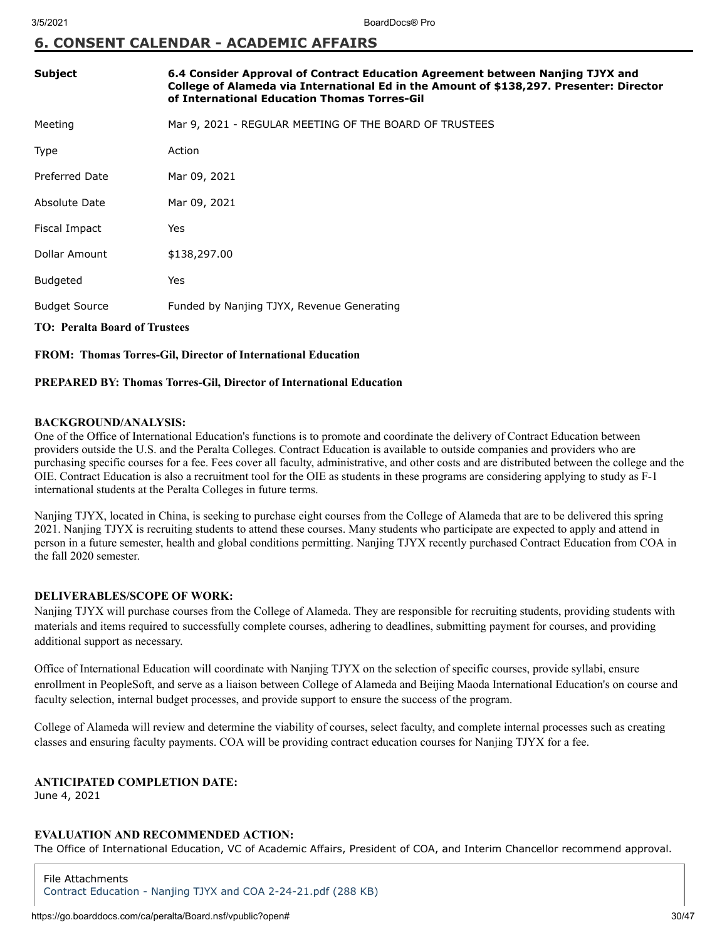# **6. CONSENT CALENDAR - ACADEMIC AFFAIRS**

| Subject                              | 6.4 Consider Approval of Contract Education Agreement between Nanjing TJYX and<br>College of Alameda via International Ed in the Amount of \$138,297. Presenter: Director<br>of International Education Thomas Torres-Gil |  |  |  |
|--------------------------------------|---------------------------------------------------------------------------------------------------------------------------------------------------------------------------------------------------------------------------|--|--|--|
| Meeting                              | Mar 9, 2021 - REGULAR MEETING OF THE BOARD OF TRUSTEES                                                                                                                                                                    |  |  |  |
| Type                                 | Action                                                                                                                                                                                                                    |  |  |  |
| <b>Preferred Date</b>                | Mar 09, 2021                                                                                                                                                                                                              |  |  |  |
| Absolute Date                        | Mar 09, 2021                                                                                                                                                                                                              |  |  |  |
| Fiscal Impact                        | Yes                                                                                                                                                                                                                       |  |  |  |
| Dollar Amount                        | \$138,297.00                                                                                                                                                                                                              |  |  |  |
| <b>Budgeted</b>                      | Yes                                                                                                                                                                                                                       |  |  |  |
| <b>Budget Source</b>                 | Funded by Nanjing TJYX, Revenue Generating                                                                                                                                                                                |  |  |  |
| <b>TO: Peralta Board of Trustees</b> |                                                                                                                                                                                                                           |  |  |  |

**FROM: Thomas Torres-Gil, Director of International Education**

## **PREPARED BY: Thomas Torres-Gil, Director of International Education**

#### **BACKGROUND/ANALYSIS:**

One of the Office of International Education's functions is to promote and coordinate the delivery of Contract Education between providers outside the U.S. and the Peralta Colleges. Contract Education is available to outside companies and providers who are purchasing specific courses for a fee. Fees cover all faculty, administrative, and other costs and are distributed between the college and the OIE. Contract Education is also a recruitment tool for the OIE as students in these programs are considering applying to study as F-1 international students at the Peralta Colleges in future terms.

Nanjing TJYX, located in China, is seeking to purchase eight courses from the College of Alameda that are to be delivered this spring 2021. Nanjing TJYX is recruiting students to attend these courses. Many students who participate are expected to apply and attend in person in a future semester, health and global conditions permitting. Nanjing TJYX recently purchased Contract Education from COA in the fall 2020 semester.

## **DELIVERABLES/SCOPE OF WORK:**

Nanjing TJYX will purchase courses from the College of Alameda. They are responsible for recruiting students, providing students with materials and items required to successfully complete courses, adhering to deadlines, submitting payment for courses, and providing additional support as necessary.

Office of International Education will coordinate with Nanjing TJYX on the selection of specific courses, provide syllabi, ensure enrollment in PeopleSoft, and serve as a liaison between College of Alameda and Beijing Maoda International Education's on course and faculty selection, internal budget processes, and provide support to ensure the success of the program.

College of Alameda will review and determine the viability of courses, select faculty, and complete internal processes such as creating classes and ensuring faculty payments. COA will be providing contract education courses for Nanjing TJYX for a fee.

# **ANTICIPATED COMPLETION DATE:**

June 4, 2021

# **EVALUATION AND RECOMMENDED ACTION:**

The Office of International Education, VC of Academic Affairs, President of COA, and Interim Chancellor recommend approval.

File Attachments [Contract Education - Nanjing TJYX and COA 2-24-21.pdf \(288 KB\)](https://go.boarddocs.com/ca/peralta/Board.nsf/files/BYJS5S703B87/$file/Contract%20Education%20-%20Nanjing%20TJYX%20and%20COA%202-24-21.pdf)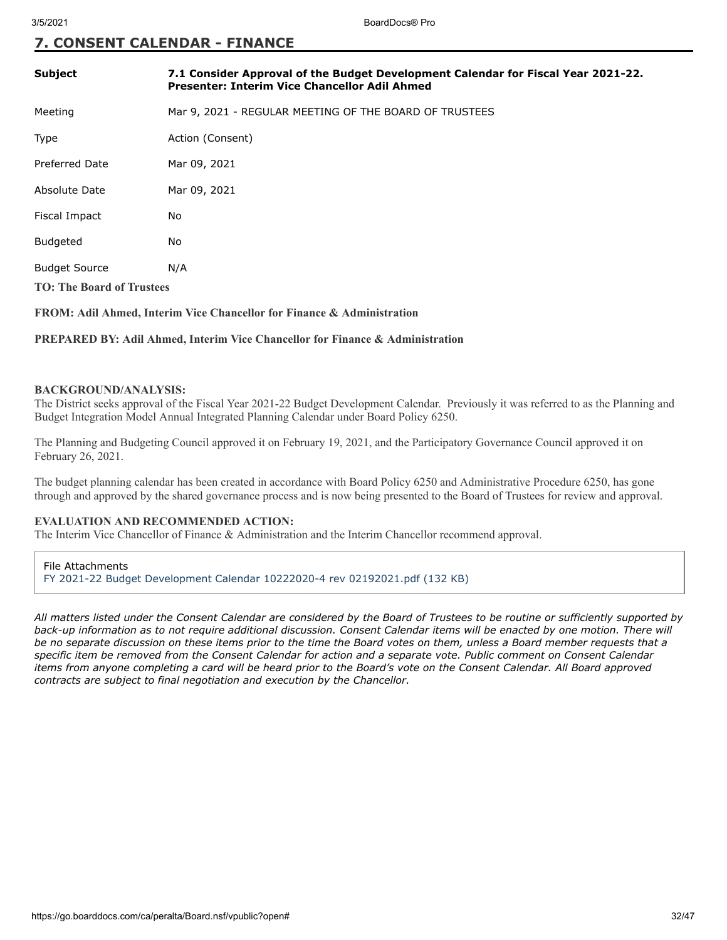# **7. CONSENT CALENDAR - FINANCE**

| <b>Subject</b>                   | 7.1 Consider Approval of the Budget Development Calendar for Fiscal Year 2021-22.<br><b>Presenter: Interim Vice Chancellor Adil Ahmed</b> |  |  |  |
|----------------------------------|-------------------------------------------------------------------------------------------------------------------------------------------|--|--|--|
| Meeting                          | Mar 9, 2021 - REGULAR MEETING OF THE BOARD OF TRUSTEES                                                                                    |  |  |  |
| Type                             | Action (Consent)                                                                                                                          |  |  |  |
| <b>Preferred Date</b>            | Mar 09, 2021                                                                                                                              |  |  |  |
| Absolute Date                    | Mar 09, 2021                                                                                                                              |  |  |  |
| Fiscal Impact                    | No                                                                                                                                        |  |  |  |
| <b>Budgeted</b>                  | No                                                                                                                                        |  |  |  |
| <b>Budget Source</b>             | N/A                                                                                                                                       |  |  |  |
| <b>TO: The Board of Trustees</b> |                                                                                                                                           |  |  |  |

## **FROM: Adil Ahmed, Interim Vice Chancellor for Finance & Administration**

#### **PREPARED BY: Adil Ahmed, Interim Vice Chancellor for Finance & Administration**

#### **BACKGROUND/ANALYSIS:**

The District seeks approval of the Fiscal Year 2021-22 Budget Development Calendar. Previously it was referred to as the Planning and Budget Integration Model Annual Integrated Planning Calendar under Board Policy 6250.

The Planning and Budgeting Council approved it on February 19, 2021, and the Participatory Governance Council approved it on February 26, 2021.

The budget planning calendar has been created in accordance with Board Policy 6250 and Administrative Procedure 6250, has gone through and approved by the shared governance process and is now being presented to the Board of Trustees for review and approval.

#### **EVALUATION AND RECOMMENDED ACTION:**

The Interim Vice Chancellor of Finance & Administration and the Interim Chancellor recommend approval.

File Attachments [FY 2021-22 Budget Development Calendar 10222020-4 rev 02192021.pdf \(132 KB\)](https://go.boarddocs.com/ca/peralta/Board.nsf/files/BYHM5959819C/$file/FY%202021-22%20Budget%20Development%20Calendar%2010222020-4%20rev%2002192021.pdf)

*All matters listed under the Consent Calendar are considered by the Board of Trustees to be routine or sufficiently supported by back-up information as to not require additional discussion. Consent Calendar items will be enacted by one motion. There will be no separate discussion on these items prior to the time the Board votes on them, unless a Board member requests that a specific item be removed from the Consent Calendar for action and a separate vote. Public comment on Consent Calendar items from anyone completing a card will be heard prior to the Board's vote on the Consent Calendar. All Board approved contracts are subject to final negotiation and execution by the Chancellor.*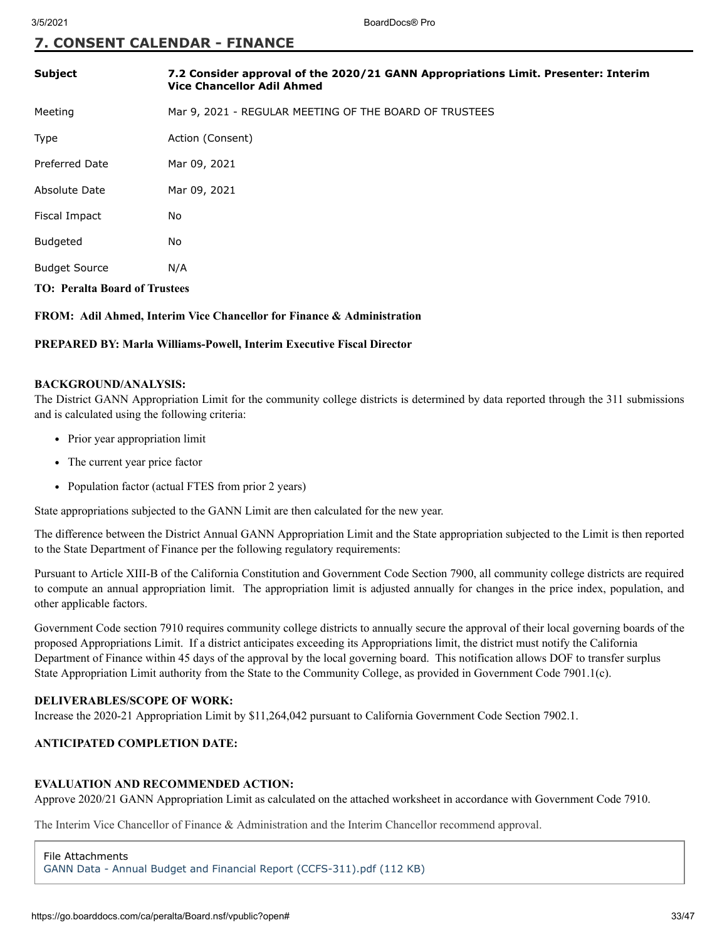# **7. CONSENT CALENDAR - FINANCE**

| <b>Subject</b>                       | 7.2 Consider approval of the 2020/21 GANN Appropriations Limit. Presenter: Interim<br><b>Vice Chancellor Adil Ahmed</b> |  |  |  |
|--------------------------------------|-------------------------------------------------------------------------------------------------------------------------|--|--|--|
| Meeting                              | Mar 9, 2021 - REGULAR MEETING OF THE BOARD OF TRUSTEES                                                                  |  |  |  |
| <b>Type</b>                          | Action (Consent)                                                                                                        |  |  |  |
| <b>Preferred Date</b>                | Mar 09, 2021                                                                                                            |  |  |  |
| Absolute Date                        | Mar 09, 2021                                                                                                            |  |  |  |
| Fiscal Impact                        | No                                                                                                                      |  |  |  |
| <b>Budgeted</b>                      | No                                                                                                                      |  |  |  |
| <b>Budget Source</b>                 | N/A                                                                                                                     |  |  |  |
| <b>TO: Peralta Board of Trustees</b> |                                                                                                                         |  |  |  |

**FROM: Adil Ahmed, Interim Vice Chancellor for Finance & Administration**

#### **PREPARED BY: Marla Williams-Powell, Interim Executive Fiscal Director**

#### **BACKGROUND/ANALYSIS:**

The District GANN Appropriation Limit for the community college districts is determined by data reported through the 311 submissions and is calculated using the following criteria:

- Prior year appropriation limit
- The current year price factor
- Population factor (actual FTES from prior 2 years)

State appropriations subjected to the GANN Limit are then calculated for the new year.

The difference between the District Annual GANN Appropriation Limit and the State appropriation subjected to the Limit is then reported to the State Department of Finance per the following regulatory requirements:

Pursuant to Article XIII-B of the California Constitution and Government Code Section 7900, all community college districts are required to compute an annual appropriation limit. The appropriation limit is adjusted annually for changes in the price index, population, and other applicable factors.

Government Code section 7910 requires community college districts to annually secure the approval of their local governing boards of the proposed Appropriations Limit. If a district anticipates exceeding its Appropriations limit, the district must notify the California Department of Finance within 45 days of the approval by the local governing board. This notification allows DOF to transfer surplus State Appropriation Limit authority from the State to the Community College, as provided in Government Code 7901.1(c).

## **DELIVERABLES/SCOPE OF WORK:**

Increase the 2020-21 Appropriation Limit by \$11,264,042 pursuant to California Government Code Section 7902.1.

# **ANTICIPATED COMPLETION DATE:**

# **EVALUATION AND RECOMMENDED ACTION:**

Approve 2020/21 GANN Appropriation Limit as calculated on the attached worksheet in accordance with Government Code 7910.

The Interim Vice Chancellor of Finance & Administration and the Interim Chancellor recommend approval.

File Attachments [GANN Data - Annual Budget and Financial Report \(CCFS-311\).pdf \(112 KB\)](https://go.boarddocs.com/ca/peralta/Board.nsf/files/BYHM7X599F53/$file/GANN%20Data%20-%20Annual%20Budget%20and%20Financial%20Report%20(CCFS-311).pdf)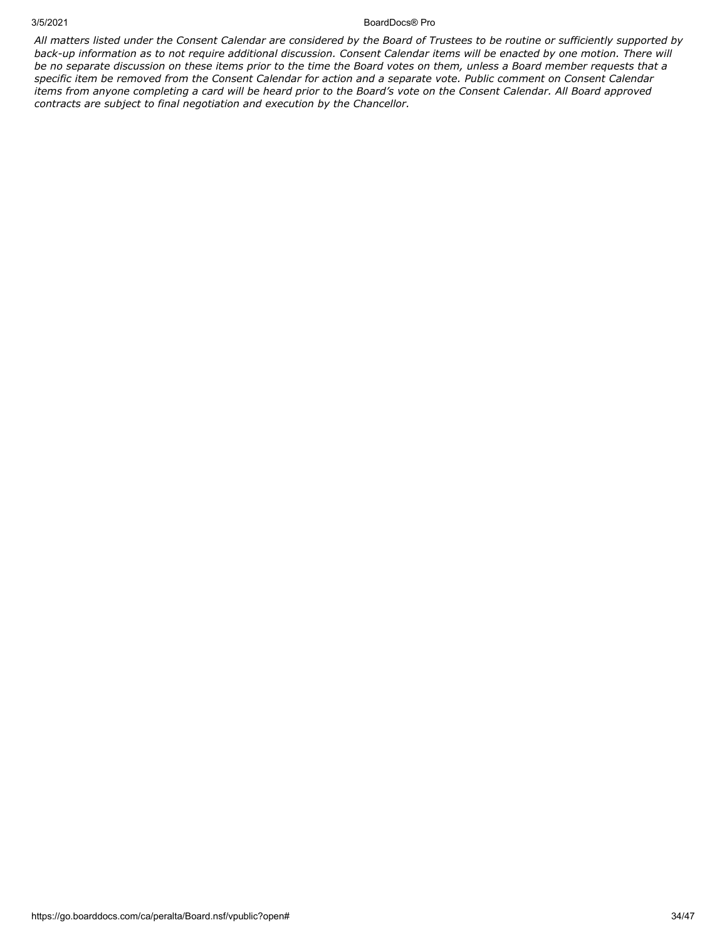#### 3/5/2021 BoardDocs® Pro

*All matters listed under the Consent Calendar are considered by the Board of Trustees to be routine or sufficiently supported by back-up information as to not require additional discussion. Consent Calendar items will be enacted by one motion. There will be no separate discussion on these items prior to the time the Board votes on them, unless a Board member requests that a specific item be removed from the Consent Calendar for action and a separate vote. Public comment on Consent Calendar items from anyone completing a card will be heard prior to the Board's vote on the Consent Calendar. All Board approved contracts are subject to final negotiation and execution by the Chancellor.*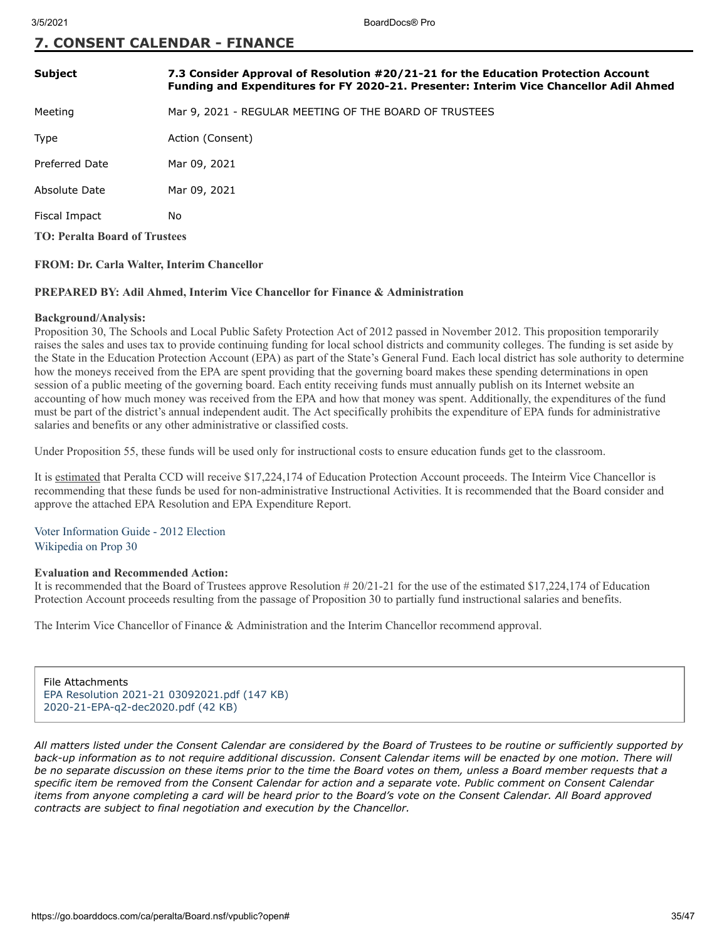# **7. CONSENT CALENDAR - FINANCE**

| <b>Subject</b>                       | 7.3 Consider Approval of Resolution #20/21-21 for the Education Protection Account<br>Funding and Expenditures for FY 2020-21. Presenter: Interim Vice Chancellor Adil Ahmed |  |  |
|--------------------------------------|------------------------------------------------------------------------------------------------------------------------------------------------------------------------------|--|--|
| Meeting                              | Mar 9, 2021 - REGULAR MEETING OF THE BOARD OF TRUSTEES                                                                                                                       |  |  |
| Type                                 | Action (Consent)                                                                                                                                                             |  |  |
| <b>Preferred Date</b>                | Mar 09, 2021                                                                                                                                                                 |  |  |
| Absolute Date                        | Mar 09, 2021                                                                                                                                                                 |  |  |
| Fiscal Impact                        | No                                                                                                                                                                           |  |  |
| <b>TO: Peralta Board of Trustees</b> |                                                                                                                                                                              |  |  |

## **FROM: Dr. Carla Walter, Interim Chancellor**

#### **PREPARED BY: Adil Ahmed, Interim Vice Chancellor for Finance & Administration**

#### **Background/Analysis:**

Proposition 30, The Schools and Local Public Safety Protection Act of 2012 passed in November 2012. This proposition temporarily raises the sales and uses tax to provide continuing funding for local school districts and community colleges. The funding is set aside by the State in the Education Protection Account (EPA) as part of the State's General Fund. Each local district has sole authority to determine how the moneys received from the EPA are spent providing that the governing board makes these spending determinations in open session of a public meeting of the governing board. Each entity receiving funds must annually publish on its Internet website an accounting of how much money was received from the EPA and how that money was spent. Additionally, the expenditures of the fund must be part of the district's annual independent audit. The Act specifically prohibits the expenditure of EPA funds for administrative salaries and benefits or any other administrative or classified costs.

Under Proposition 55, these funds will be used only for instructional costs to ensure education funds get to the classroom.

It is estimated that Peralta CCD will receive \$17,224,174 of Education Protection Account proceeds. The Inteirm Vice Chancellor is recommending that these funds be used for non-administrative Instructional Activities. It is recommended that the Board consider and approve the attached EPA Resolution and EPA Expenditure Report.

# [Voter Information Guide - 2012 Election](https://repository.uchastings.edu/cgi/viewcontent.cgi?article=2319&context=ca_ballot_props) [Wikipedia on Prop 30](https://en.wikipedia.org/wiki/2012_California_Proposition_30)

#### **Evaluation and Recommended Action:**

It is recommended that the Board of Trustees approve Resolution # 20/21-21 for the use of the estimated \$17,224,174 of Education Protection Account proceeds resulting from the passage of Proposition 30 to partially fund instructional salaries and benefits.

The Interim Vice Chancellor of Finance & Administration and the Interim Chancellor recommend approval.

File Attachments [EPA Resolution 2021-21 03092021.pdf \(147 KB\)](https://go.boarddocs.com/ca/peralta/Board.nsf/files/BYK32C04BB06/$file/EPA%20Resolution%202021-21%2003092021.pdf) [2020-21-EPA-q2-dec2020.pdf \(42 KB\)](https://go.boarddocs.com/ca/peralta/Board.nsf/files/BYK32E04BC09/$file/2020-21-EPA-q2-dec2020.pdf)

*All matters listed under the Consent Calendar are considered by the Board of Trustees to be routine or sufficiently supported by back-up information as to not require additional discussion. Consent Calendar items will be enacted by one motion. There will be no separate discussion on these items prior to the time the Board votes on them, unless a Board member requests that a specific item be removed from the Consent Calendar for action and a separate vote. Public comment on Consent Calendar items from anyone completing a card will be heard prior to the Board's vote on the Consent Calendar. All Board approved contracts are subject to final negotiation and execution by the Chancellor.*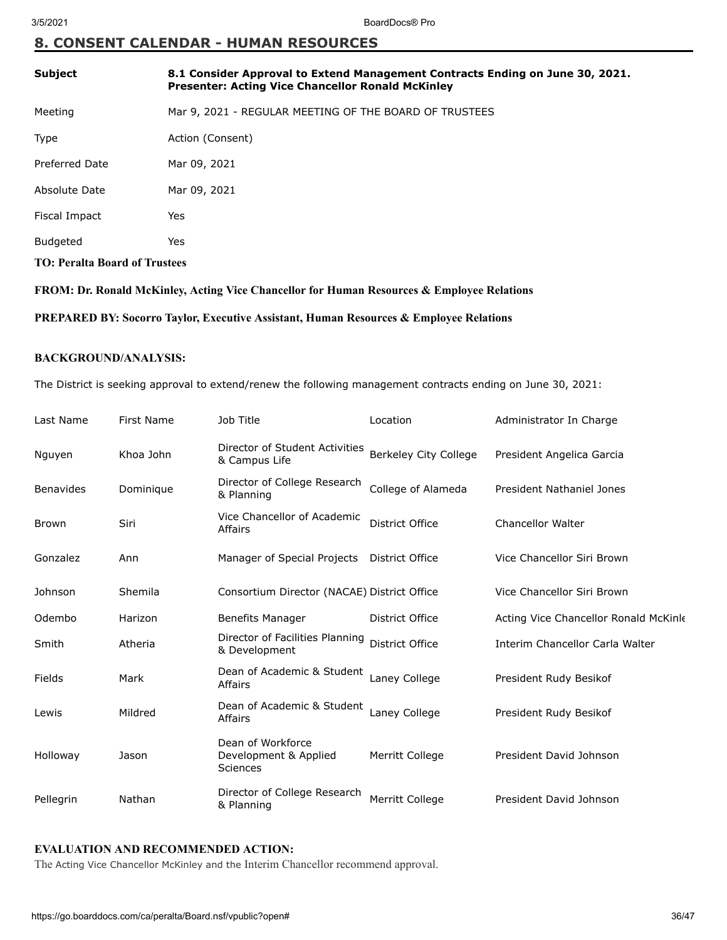# **8. CONSENT CALENDAR - HUMAN RESOURCES**

| <b>Subject</b>                       | 8.1 Consider Approval to Extend Management Contracts Ending on June 30, 2021.<br><b>Presenter: Acting Vice Chancellor Ronald McKinley</b> |  |
|--------------------------------------|-------------------------------------------------------------------------------------------------------------------------------------------|--|
| Meeting                              | Mar 9, 2021 - REGULAR MEETING OF THE BOARD OF TRUSTEES                                                                                    |  |
| Type                                 | Action (Consent)                                                                                                                          |  |
| Preferred Date                       | Mar 09, 2021                                                                                                                              |  |
| Absolute Date                        | Mar 09, 2021                                                                                                                              |  |
| Fiscal Impact                        | Yes                                                                                                                                       |  |
| <b>Budgeted</b>                      | Yes                                                                                                                                       |  |
| <b>TO: Peralta Board of Trustees</b> |                                                                                                                                           |  |

**FROM: Dr. Ronald McKinley, Acting Vice Chancellor for Human Resources & Employee Relations**

**PREPARED BY: Socorro Taylor, Executive Assistant, Human Resources & Employee Relations**

## **BACKGROUND/ANALYSIS:**

The District is seeking approval to extend/renew the following management contracts ending on June 30, 2021:

| Last Name        | <b>First Name</b> | Job Title                                              | Location               | Administrator In Charge               |
|------------------|-------------------|--------------------------------------------------------|------------------------|---------------------------------------|
| Nguyen           | Khoa John         | Director of Student Activities<br>& Campus Life        | Berkeley City College  | President Angelica Garcia             |
| <b>Benavides</b> | Dominique         | Director of College Research<br>& Planning             | College of Alameda     | President Nathaniel Jones             |
| <b>Brown</b>     | Siri              | Vice Chancellor of Academic<br>Affairs                 | District Office        | <b>Chancellor Walter</b>              |
| Gonzalez         | Ann               | Manager of Special Projects                            | District Office        | Vice Chancellor Siri Brown            |
| Johnson          | Shemila           | Consortium Director (NACAE) District Office            |                        | Vice Chancellor Siri Brown            |
| Odembo           | Harizon           | <b>Benefits Manager</b>                                | District Office        | Acting Vice Chancellor Ronald McKinle |
| Smith            | Atheria           | Director of Facilities Planning<br>& Development       | District Office        | Interim Chancellor Carla Walter       |
| Fields           | Mark              | Dean of Academic & Student<br>Affairs                  | Laney College          | President Rudy Besikof                |
| Lewis            | Mildred           | Dean of Academic & Student<br>Affairs                  | Laney College          | President Rudy Besikof                |
| Holloway         | Jason             | Dean of Workforce<br>Development & Applied<br>Sciences | Merritt College        | President David Johnson               |
| Pellegrin        | Nathan            | Director of College Research<br>& Planning             | <b>Merritt College</b> | President David Johnson               |

# **EVALUATION AND RECOMMENDED ACTION:**

The Acting Vice Chancellor McKinley and the Interim Chancellor recommend approval.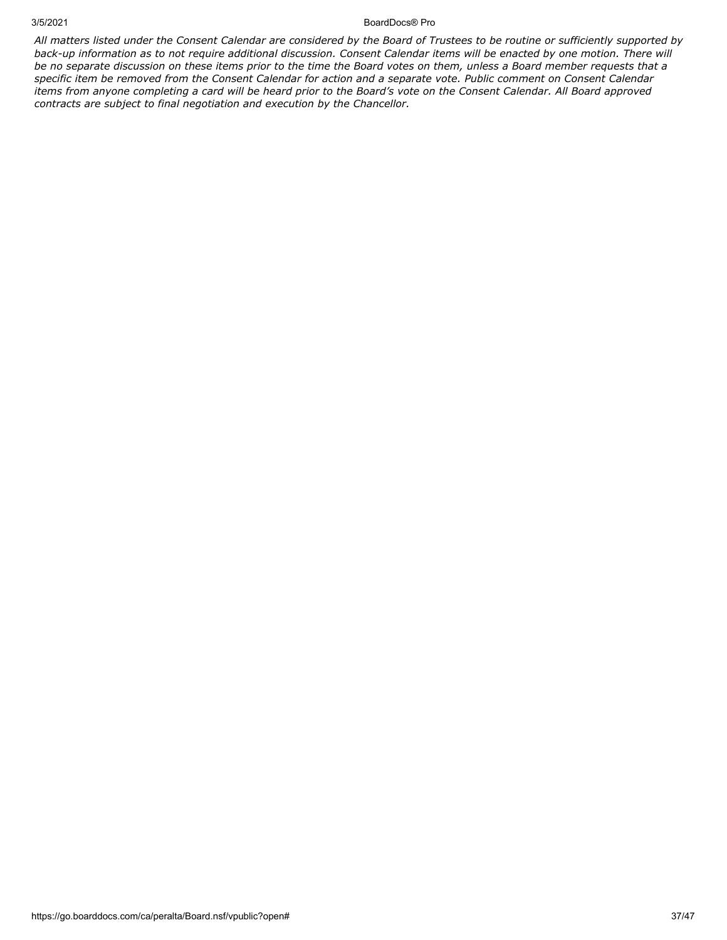#### 3/5/2021 BoardDocs® Pro

*All matters listed under the Consent Calendar are considered by the Board of Trustees to be routine or sufficiently supported by back-up information as to not require additional discussion. Consent Calendar items will be enacted by one motion. There will be no separate discussion on these items prior to the time the Board votes on them, unless a Board member requests that a specific item be removed from the Consent Calendar for action and a separate vote. Public comment on Consent Calendar items from anyone completing a card will be heard prior to the Board's vote on the Consent Calendar. All Board approved contracts are subject to final negotiation and execution by the Chancellor.*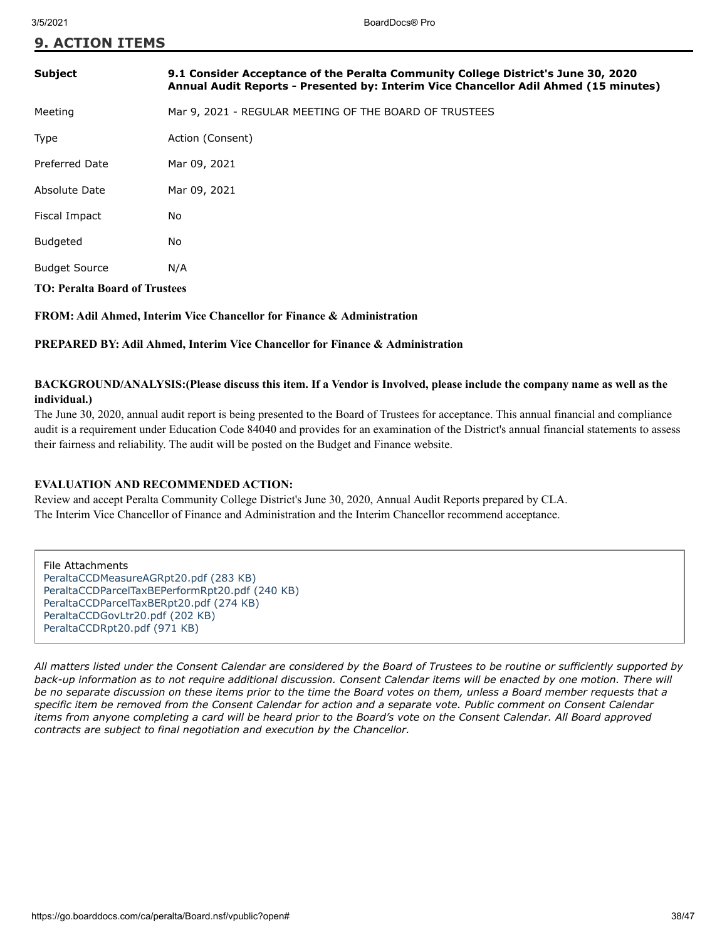**9. ACTION ITEMS**

| <b>Subject</b>                       | 9.1 Consider Acceptance of the Peralta Community College District's June 30, 2020<br>Annual Audit Reports - Presented by: Interim Vice Chancellor Adil Ahmed (15 minutes) |  |  |
|--------------------------------------|---------------------------------------------------------------------------------------------------------------------------------------------------------------------------|--|--|
| Meeting                              | Mar 9, 2021 - REGULAR MEETING OF THE BOARD OF TRUSTEES                                                                                                                    |  |  |
| <b>Type</b>                          | Action (Consent)                                                                                                                                                          |  |  |
| <b>Preferred Date</b>                | Mar 09, 2021                                                                                                                                                              |  |  |
| Absolute Date                        | Mar 09, 2021                                                                                                                                                              |  |  |
| Fiscal Impact                        | No                                                                                                                                                                        |  |  |
| <b>Budgeted</b>                      | No                                                                                                                                                                        |  |  |
| <b>Budget Source</b>                 | N/A                                                                                                                                                                       |  |  |
| <b>TO: Peralta Board of Trustees</b> |                                                                                                                                                                           |  |  |

**FROM: Adil Ahmed, Interim Vice Chancellor for Finance & Administration**

**PREPARED BY: Adil Ahmed, Interim Vice Chancellor for Finance & Administration**

# **BACKGROUND/ANALYSIS:(Please discuss this item. If a Vendor is Involved, please include the company name as well as the individual.)**

The June 30, 2020, annual audit report is being presented to the Board of Trustees for acceptance. This annual financial and compliance audit is a requirement under Education Code 84040 and provides for an examination of the District's annual financial statements to assess their fairness and reliability. The audit will be posted on the Budget and Finance website.

# **EVALUATION AND RECOMMENDED ACTION:**

Review and accept Peralta Community College District's June 30, 2020, Annual Audit Reports prepared by CLA. The Interim Vice Chancellor of Finance and Administration and the Interim Chancellor recommend acceptance.

File Attachments [PeraltaCCDMeasureAGRpt20.pdf \(283 KB\)](https://go.boarddocs.com/ca/peralta/Board.nsf/files/BYPUS57D6781/$file/PeraltaCCDMeasureAGRpt20.pdf) [PeraltaCCDParcelTaxBEPerformRpt20.pdf \(240 KB\)](https://go.boarddocs.com/ca/peralta/Board.nsf/files/BYPUS77D68AA/$file/PeraltaCCDParcelTaxBEPerformRpt20.pdf) [PeraltaCCDParcelTaxBERpt20.pdf \(274 KB\)](https://go.boarddocs.com/ca/peralta/Board.nsf/files/BYPUS97D6A64/$file/PeraltaCCDParcelTaxBERpt20.pdf) [PeraltaCCDGovLtr20.pdf \(202 KB\)](https://go.boarddocs.com/ca/peralta/Board.nsf/files/BYPUSB7D6BF9/$file/PeraltaCCDGovLtr20.pdf) [PeraltaCCDRpt20.pdf \(971 KB\)](https://go.boarddocs.com/ca/peralta/Board.nsf/files/BYPUSD7D6E0A/$file/PeraltaCCDRpt20.pdf)

*All matters listed under the Consent Calendar are considered by the Board of Trustees to be routine or sufficiently supported by back-up information as to not require additional discussion. Consent Calendar items will be enacted by one motion. There will be no separate discussion on these items prior to the time the Board votes on them, unless a Board member requests that a specific item be removed from the Consent Calendar for action and a separate vote. Public comment on Consent Calendar items from anyone completing a card will be heard prior to the Board's vote on the Consent Calendar. All Board approved contracts are subject to final negotiation and execution by the Chancellor.*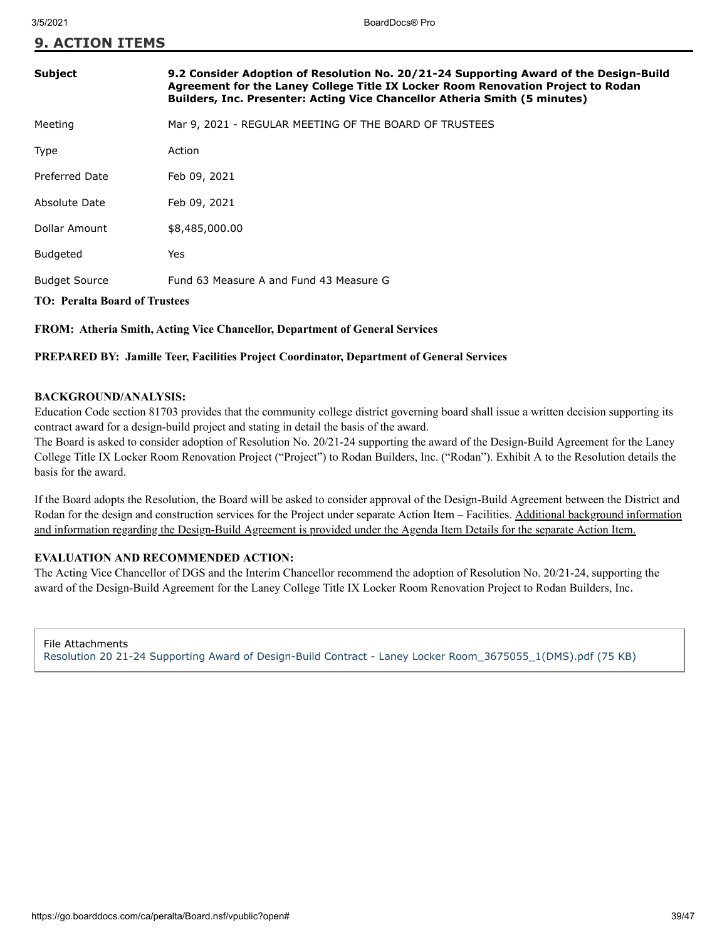**9. ACTION ITEMS**

| Subject                              | 9.2 Consider Adoption of Resolution No. 20/21-24 Supporting Award of the Design-Build<br>Agreement for the Laney College Title IX Locker Room Renovation Project to Rodan<br>Builders, Inc. Presenter: Acting Vice Chancellor Atheria Smith (5 minutes) |  |  |  |  |
|--------------------------------------|---------------------------------------------------------------------------------------------------------------------------------------------------------------------------------------------------------------------------------------------------------|--|--|--|--|
| Meeting                              | Mar 9, 2021 - REGULAR MEETING OF THE BOARD OF TRUSTEES                                                                                                                                                                                                  |  |  |  |  |
| Type                                 | Action                                                                                                                                                                                                                                                  |  |  |  |  |
| Preferred Date                       | Feb 09, 2021                                                                                                                                                                                                                                            |  |  |  |  |
| Absolute Date                        | Feb 09, 2021                                                                                                                                                                                                                                            |  |  |  |  |
| Dollar Amount                        | \$8,485,000.00                                                                                                                                                                                                                                          |  |  |  |  |
| <b>Budgeted</b>                      | Yes                                                                                                                                                                                                                                                     |  |  |  |  |
| <b>Budget Source</b>                 | Fund 63 Measure A and Fund 43 Measure G                                                                                                                                                                                                                 |  |  |  |  |
| <b>TO: Peralta Board of Trustees</b> |                                                                                                                                                                                                                                                         |  |  |  |  |

# **FROM: Atheria Smith, Acting Vice Chancellor, Department of General Services**

## **PREPARED BY: Jamille Teer, Facilities Project Coordinator, Department of General Services**

# **BACKGROUND/ANALYSIS:**

Education Code section 81703 provides that the community college district governing board shall issue a written decision supporting its contract award for a design-build project and stating in detail the basis of the award.

The Board is asked to consider adoption of Resolution No. 20/21-24 supporting the award of the Design-Build Agreement for the Laney College Title IX Locker Room Renovation Project ("Project") to Rodan Builders, Inc. ("Rodan"). Exhibit A to the Resolution details the basis for the award.

If the Board adopts the Resolution, the Board will be asked to consider approval of the Design-Build Agreement between the District and Rodan for the design and construction services for the Project under separate Action Item – Facilities. Additional background information and information regarding the Design-Build Agreement is provided under the Agenda Item Details for the separate Action Item.

# **EVALUATION AND RECOMMENDED ACTION:**

The Acting Vice Chancellor of DGS and the Interim Chancellor recommend the adoption of Resolution No. 20/21-24, supporting the award of the Design-Build Agreement for the Laney College Title IX Locker Room Renovation Project to Rodan Builders, Inc.

File Attachments [Resolution 20 21-24 Supporting Award of Design-Build Contract - Laney Locker Room\\_3675055\\_1\(DMS\).pdf \(75 KB\)](https://go.boarddocs.com/ca/peralta/Board.nsf/files/BYHMZL5B6CF4/$file/Resolution%2020%2021-24%20Supporting%20Award%20of%20Design-Build%20Contract%20-%20Laney%20Locker%20Room_3675055_1(DMS).pdf)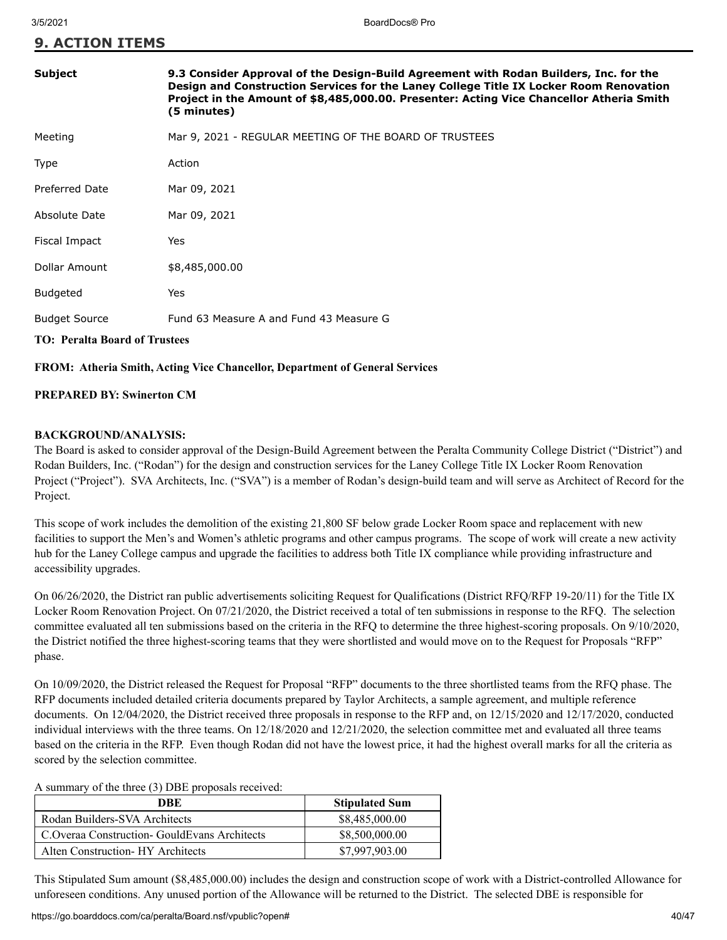| <b>9. ACTION ITEMS</b> |  |
|------------------------|--|
|------------------------|--|

# **Subject 9.3 Consider Approval of the Design-Build Agreement with Rodan Builders, Inc. for the Design and Construction Services for the Laney College Title IX Locker Room Renovation Project in the Amount of \$8,485,000.00. Presenter: Acting Vice Chancellor Atheria Smith (5 minutes)** Meeting Mar 9, 2021 - REGULAR MEETING OF THE BOARD OF TRUSTEES

| Type                 | Action                                  |
|----------------------|-----------------------------------------|
| Preferred Date       | Mar 09, 2021                            |
| Absolute Date        | Mar 09, 2021                            |
| Fiscal Impact        | Yes                                     |
| Dollar Amount        | \$8,485,000.00                          |
| Budgeted             | Yes                                     |
| <b>Budget Source</b> | Fund 63 Measure A and Fund 43 Measure G |

# **TO: Peralta Board of Trustees**

## **FROM: Atheria Smith, Acting Vice Chancellor, Department of General Services**

# **PREPARED BY: Swinerton CM**

# **BACKGROUND/ANALYSIS:**

The Board is asked to consider approval of the Design-Build Agreement between the Peralta Community College District ("District") and Rodan Builders, Inc. ("Rodan") for the design and construction services for the Laney College Title IX Locker Room Renovation Project ("Project"). SVA Architects, Inc. ("SVA") is a member of Rodan's design-build team and will serve as Architect of Record for the Project.

This scope of work includes the demolition of the existing 21,800 SF below grade Locker Room space and replacement with new facilities to support the Men's and Women's athletic programs and other campus programs. The scope of work will create a new activity hub for the Laney College campus and upgrade the facilities to address both Title IX compliance while providing infrastructure and accessibility upgrades.

On 06/26/2020, the District ran public advertisements soliciting Request for Qualifications (District RFQ/RFP 19-20/11) for the Title IX Locker Room Renovation Project. On 07/21/2020, the District received a total of ten submissions in response to the RFQ. The selection committee evaluated all ten submissions based on the criteria in the RFQ to determine the three highest-scoring proposals. On 9/10/2020, the District notified the three highest-scoring teams that they were shortlisted and would move on to the Request for Proposals "RFP" phase.

On 10/09/2020, the District released the Request for Proposal "RFP" documents to the three shortlisted teams from the RFQ phase. The RFP documents included detailed criteria documents prepared by Taylor Architects, a sample agreement, and multiple reference documents. On 12/04/2020, the District received three proposals in response to the RFP and, on 12/15/2020 and 12/17/2020, conducted individual interviews with the three teams. On 12/18/2020 and 12/21/2020, the selection committee met and evaluated all three teams based on the criteria in the RFP. Even though Rodan did not have the lowest price, it had the highest overall marks for all the criteria as scored by the selection committee.

A summary of the three (3) DBE proposals received:

| DBE                                             | <b>Stipulated Sum</b> |
|-------------------------------------------------|-----------------------|
| Rodan Builders-SVA Architects                   | \$8,485,000.00        |
| C. Overaa Construction - Gould Evans Architects | \$8,500,000.00        |
| Alten Construction- HY Architects               | \$7,997,903.00        |

This Stipulated Sum amount (\$8,485,000.00) includes the design and construction scope of work with a District-controlled Allowance for unforeseen conditions. Any unused portion of the Allowance will be returned to the District. The selected DBE is responsible for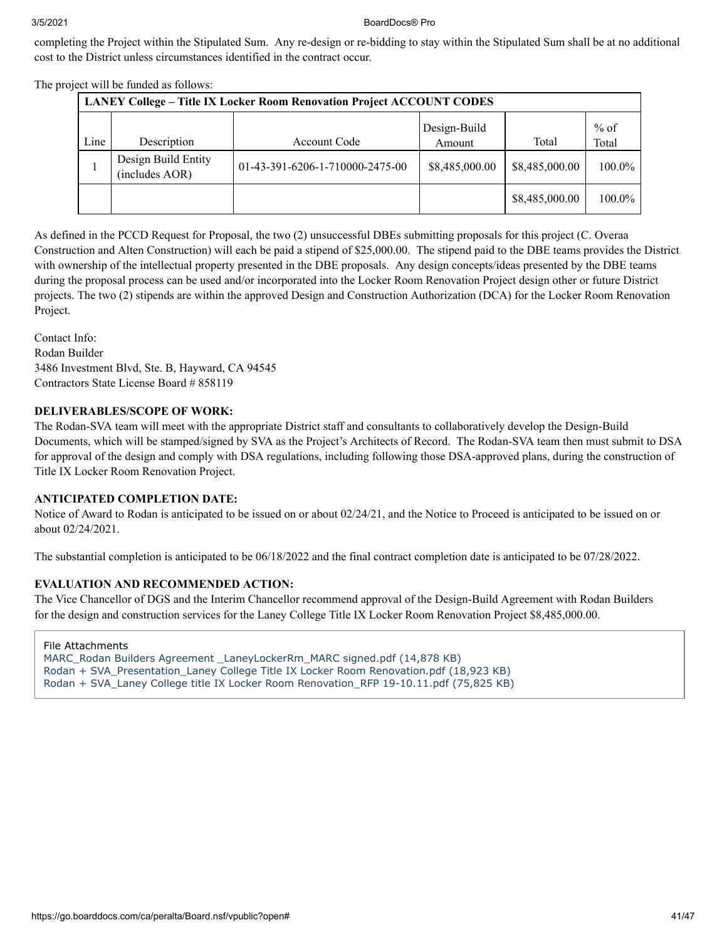completing the Project within the Stipulated Sum. Any re-design or re-bidding to stay within the Stipulated Sum shall be at no additional cost to the District unless circumstances identified in the contract occur.

| <b>LANEY College - Title IX Locker Room Renovation Project ACCOUNT CODES</b> |                                       |                                 |                        |                |                 |
|------------------------------------------------------------------------------|---------------------------------------|---------------------------------|------------------------|----------------|-----------------|
| Line                                                                         | Description                           | Account Code                    | Design-Build<br>Amount | Total          | $%$ of<br>Total |
|                                                                              | Design Build Entity<br>(includes AOR) | 01-43-391-6206-1-710000-2475-00 | \$8,485,000.00         | \$8,485,000.00 | 100.0%          |
|                                                                              |                                       |                                 |                        | \$8,485,000.00 | $100.0\%$       |

The project will be funded as follows:

As defined in the PCCD Request for Proposal, the two (2) unsuccessful DBEs submitting proposals for this project (C. Overaa Construction and Alten Construction) will each be paid a stipend of \$25,000.00. The stipend paid to the DBE teams provides the District with ownership of the intellectual property presented in the DBE proposals. Any design concepts/ideas presented by the DBE teams during the proposal process can be used and/or incorporated into the Locker Room Renovation Project design other or future District projects. The two (2) stipends are within the approved Design and Construction Authorization (DCA) for the Locker Room Renovation Project.

Contact Info: Rodan Builder 3486 Investment Blvd, Ste. B, Hayward, CA 94545 Contractors State License Board # 858119

# **DELIVERABLES/SCOPE OF WORK:**

The Rodan-SVA team will meet with the appropriate District staff and consultants to collaboratively develop the Design-Build Documents, which will be stamped/signed by SVA as the Project's Architects of Record. The Rodan-SVA team then must submit to DSA for approval of the design and comply with DSA regulations, including following those DSA-approved plans, during the construction of Title IX Locker Room Renovation Project.

# **ANTICIPATED COMPLETION DATE:**

Notice of Award to Rodan is anticipated to be issued on or about 02/24/21, and the Notice to Proceed is anticipated to be issued on or about 02/24/2021.

The substantial completion is anticipated to be 06/18/2022 and the final contract completion date is anticipated to be 07/28/2022.

# **EVALUATION AND RECOMMENDED ACTION:**

The Vice Chancellor of DGS and the Interim Chancellor recommend approval of the Design-Build Agreement with Rodan Builders for the design and construction services for the Laney College Title IX Locker Room Renovation Project \$8,485,000.00.

File Attachments

MARC\_Rodan Builders Agreement LaneyLockerRm\_MARC signed.pdf (14,878 KB)

[Rodan + SVA\\_Presentation\\_Laney College Title IX Locker Room Renovation.pdf \(18,923 KB\)](https://go.boarddocs.com/ca/peralta/Board.nsf/files/BYH87G7D426F/$file/Rodan%20%2B%20SVA_Presentation_Laney%20College%20Title%20IX%20Locker%20Room%20Renovation.pdf)

[Rodan + SVA\\_Laney College title IX Locker Room Renovation\\_RFP 19-10.11.pdf \(75,825 KB\)](https://go.boarddocs.com/ca/peralta/Board.nsf/files/BYH87P7D5268/$file/Rodan%20%2B%20SVA_Laney%20College%20title%20IX%20Locker%20Room%20Renovation_RFP%2019-10.11.pdf)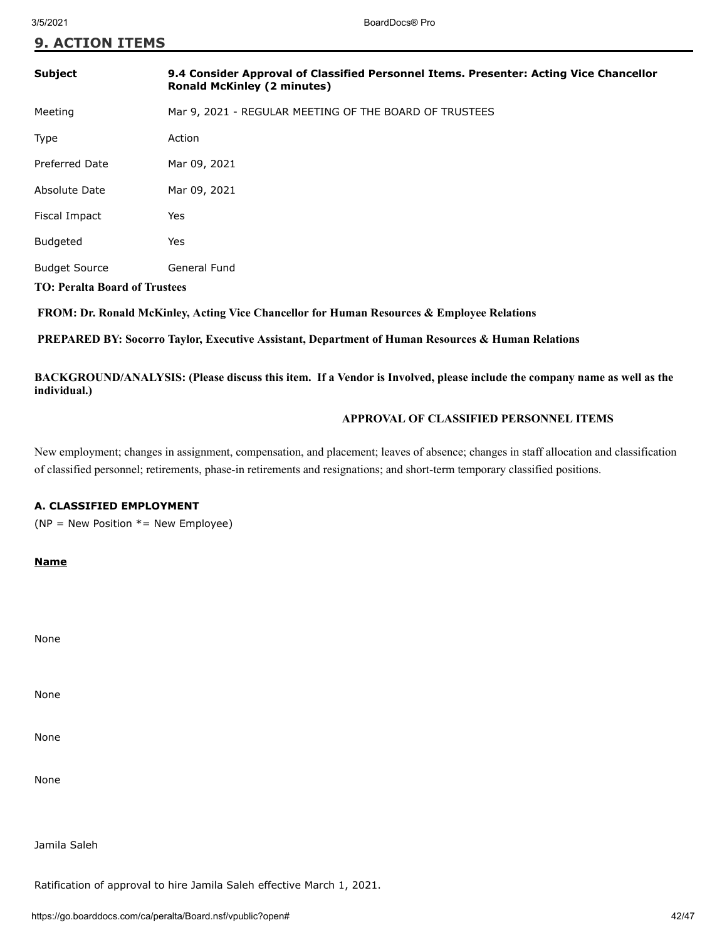# **9. ACTION ITEMS**

| <b>Subject</b>                                               | 9.4 Consider Approval of Classified Personnel Items. Presenter: Acting Vice Chancellor<br><b>Ronald McKinley (2 minutes)</b> |
|--------------------------------------------------------------|------------------------------------------------------------------------------------------------------------------------------|
| Meeting                                                      | Mar 9, 2021 - REGULAR MEETING OF THE BOARD OF TRUSTEES                                                                       |
| Type                                                         | Action                                                                                                                       |
| <b>Preferred Date</b>                                        | Mar 09, 2021                                                                                                                 |
| Absolute Date                                                | Mar 09, 2021                                                                                                                 |
| Fiscal Impact                                                | Yes                                                                                                                          |
| <b>Budgeted</b>                                              | Yes                                                                                                                          |
| <b>Budget Source</b><br><b>TO: Peralta Board of Trustees</b> | General Fund                                                                                                                 |

 **FROM: Dr. Ronald McKinley, Acting Vice Chancellor for Human Resources & Employee Relations**

 **PREPARED BY: Socorro Taylor, Executive Assistant, Department of Human Resources & Human Relations**

**BACKGROUND/ANALYSIS: (Please discuss this item. If a Vendor is Involved, please include the company name as well as the individual.)**

# **APPROVAL OF CLASSIFIED PERSONNEL ITEMS**

New employment; changes in assignment, compensation, and placement; leaves of absence; changes in staff allocation and classification of classified personnel; retirements, phase-in retirements and resignations; and short-term temporary classified positions.

# **A. CLASSIFIED EMPLOYMENT**

( $NP = New Position * = New Empire)$ )

**Name**

None

None

None

None

Jamila Saleh

Ratification of approval to hire Jamila Saleh effective March 1, 2021.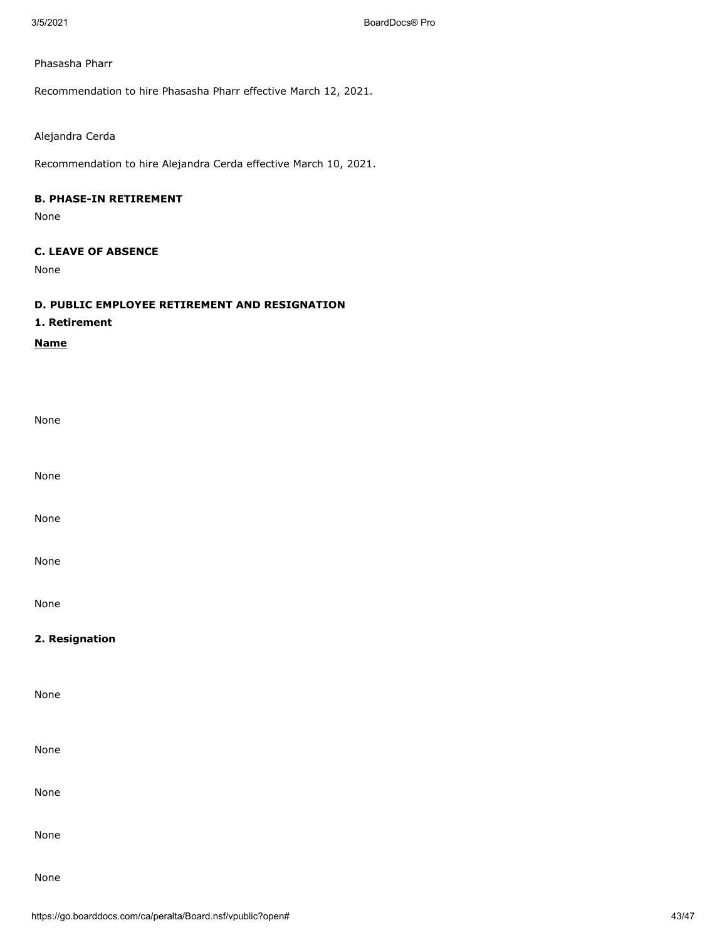## Phasasha Pharr

Recommendation to hire Phasasha Pharr effective March 12, 2021.

# Alejandra Cerda

Recommendation to hire Alejandra Cerda effective March 10, 2021.

# **B. PHASE-IN RETIREMENT**

None

# **C. LEAVE OF ABSENCE**

None

# **D. PUBLIC EMPLOYEE RETIREMENT AND RESIGNATION**

# **1. Retirement**

**Name**

| None           |  |  |  |
|----------------|--|--|--|
| None           |  |  |  |
| None           |  |  |  |
| None           |  |  |  |
| None           |  |  |  |
| 2. Resignation |  |  |  |
|                |  |  |  |
| None           |  |  |  |
| None           |  |  |  |
| None           |  |  |  |
| None           |  |  |  |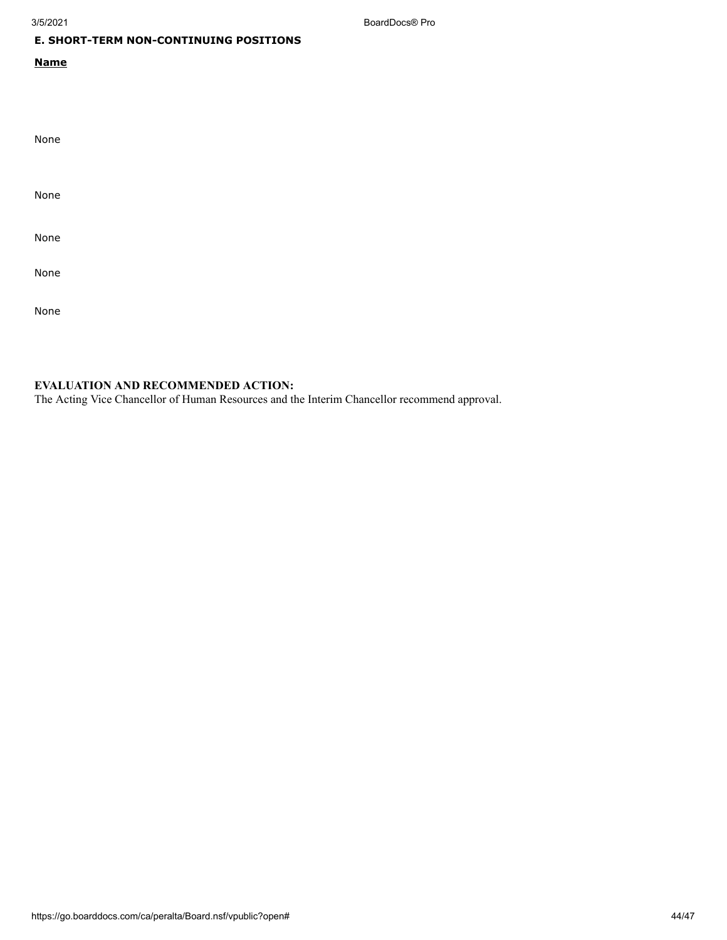3/5/2021 BoardDocs® Pro

# **E. SHORT-TERM NON-CONTINUING POSITIONS**

# **Name**

| None |  |  |  |
|------|--|--|--|
| None |  |  |  |
| None |  |  |  |
| None |  |  |  |
| None |  |  |  |

# **EVALUATION AND RECOMMENDED ACTION:**

The Acting Vice Chancellor of Human Resources and the Interim Chancellor recommend approval.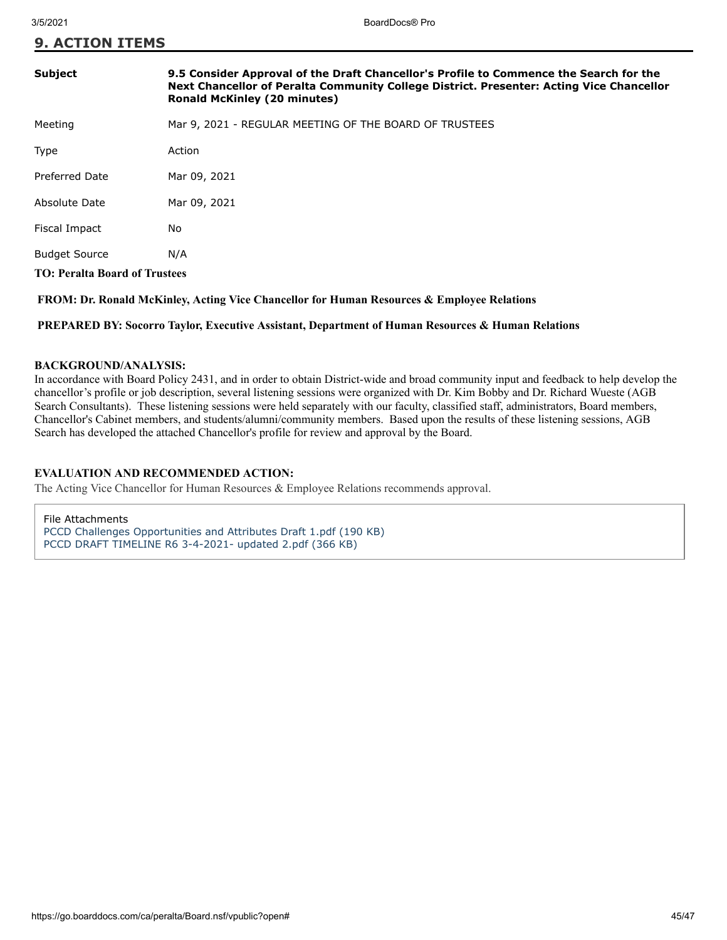**9. ACTION ITEMS**

| <b>Subject</b>                       | 9.5 Consider Approval of the Draft Chancellor's Profile to Commence the Search for the<br>Next Chancellor of Peralta Community College District. Presenter: Acting Vice Chancellor<br><b>Ronald McKinley (20 minutes)</b> |  |
|--------------------------------------|---------------------------------------------------------------------------------------------------------------------------------------------------------------------------------------------------------------------------|--|
| Meeting                              | Mar 9, 2021 - REGULAR MEETING OF THE BOARD OF TRUSTEES                                                                                                                                                                    |  |
| <b>Type</b>                          | Action                                                                                                                                                                                                                    |  |
| Preferred Date                       | Mar 09, 2021                                                                                                                                                                                                              |  |
| Absolute Date                        | Mar 09, 2021                                                                                                                                                                                                              |  |
| Fiscal Impact                        | No                                                                                                                                                                                                                        |  |
| <b>Budget Source</b>                 | N/A                                                                                                                                                                                                                       |  |
| <b>TO: Peralta Board of Trustees</b> |                                                                                                                                                                                                                           |  |
|                                      |                                                                                                                                                                                                                           |  |

 **FROM: Dr. Ronald McKinley, Acting Vice Chancellor for Human Resources & Employee Relations**

 **PREPARED BY: Socorro Taylor, Executive Assistant, Department of Human Resources & Human Relations**

# **BACKGROUND/ANALYSIS:**

In accordance with Board Policy 2431, and in order to obtain District-wide and broad community input and feedback to help develop the chancellor's profile or job description, several listening sessions were organized with Dr. Kim Bobby and Dr. Richard Wueste (AGB Search Consultants). These listening sessions were held separately with our faculty, classified staff, administrators, Board members, Chancellor's Cabinet members, and students/alumni/community members. Based upon the results of these listening sessions, AGB Search has developed the attached Chancellor's profile for review and approval by the Board.

# **EVALUATION AND RECOMMENDED ACTION:**

The Acting Vice Chancellor for Human Resources & Employee Relations recommends approval.

File Attachments [PCCD Challenges Opportunities and Attributes Draft 1.pdf \(190 KB\)](https://go.boarddocs.com/ca/peralta/Board.nsf/files/BYSVA47FBC6F/$file/PCCD%20Challenges%20Opportunities%20and%20Attributes%20Draft%201.pdf) [PCCD DRAFT TIMELINE R6 3-4-2021- updated 2.pdf \(366 KB\)](https://go.boarddocs.com/ca/peralta/Board.nsf/files/BYTMP25C22CF/$file/PCCD%20DRAFT%20TIMELINE%20R6%203-4-2021-%20updated%202.pdf)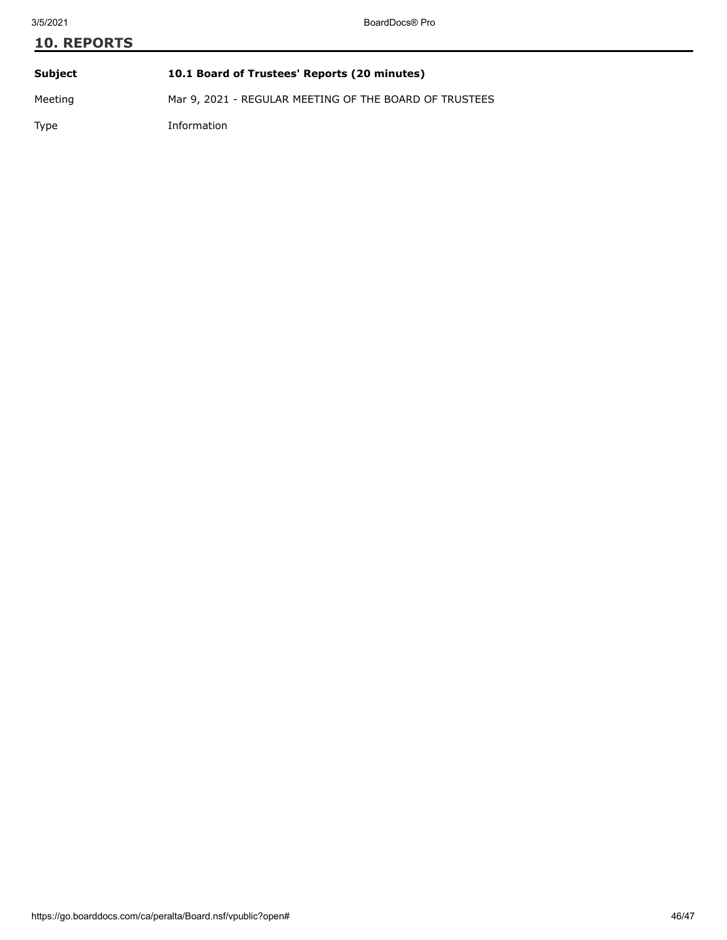# **10. REPORTS Subject 10.1 Board of Trustees' Reports (20 minutes)**

Meeting Mar 9, 2021 - REGULAR MEETING OF THE BOARD OF TRUSTEES

Type Information